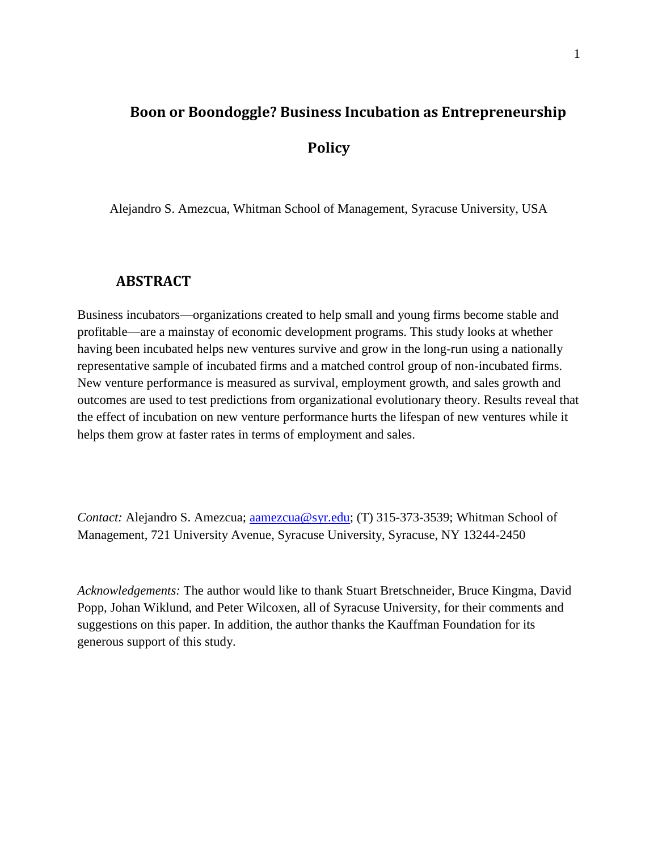# **Boon or Boondoggle? Business Incubation as Entrepreneurship Policy**

Alejandro S. Amezcua, Whitman School of Management, Syracuse University, USA

## **ABSTRACT**

Business incubators—organizations created to help small and young firms become stable and profitable—are a mainstay of economic development programs. This study looks at whether having been incubated helps new ventures survive and grow in the long-run using a nationally representative sample of incubated firms and a matched control group of non-incubated firms. New venture performance is measured as survival, employment growth, and sales growth and outcomes are used to test predictions from organizational evolutionary theory. Results reveal that the effect of incubation on new venture performance hurts the lifespan of new ventures while it helps them grow at faster rates in terms of employment and sales.

*Contact:* Alejandro S. Amezcua; [aamezcua@syr.edu;](mailto:aamezcua@syr.edu) (T) 315-373-3539; Whitman School of Management, 721 University Avenue, Syracuse University, Syracuse, NY 13244-2450

*Acknowledgements:* The author would like to thank Stuart Bretschneider, Bruce Kingma, David Popp, Johan Wiklund, and Peter Wilcoxen, all of Syracuse University, for their comments and suggestions on this paper. In addition, the author thanks the Kauffman Foundation for its generous support of this study.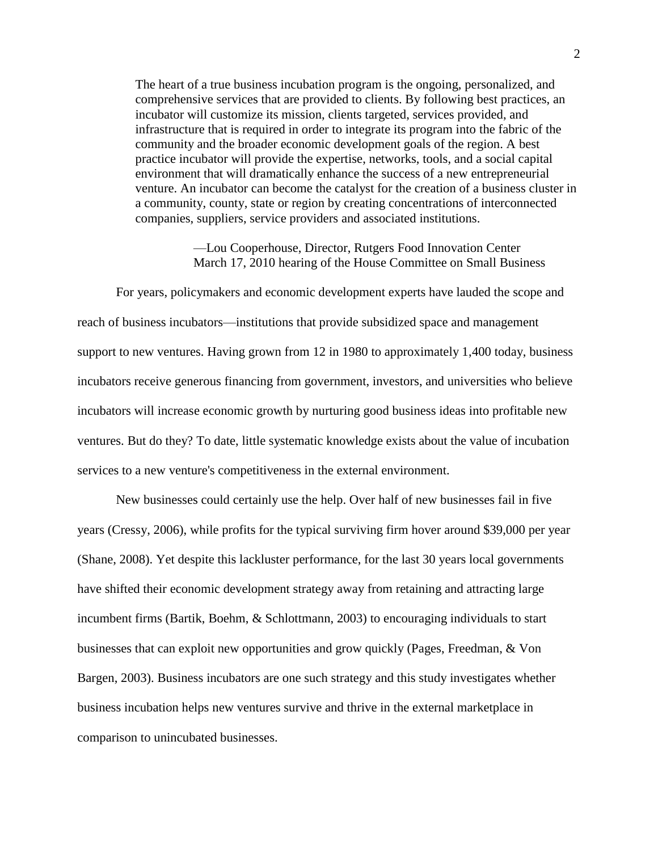The heart of a true business incubation program is the ongoing, personalized, and comprehensive services that are provided to clients. By following best practices, an incubator will customize its mission, clients targeted, services provided, and infrastructure that is required in order to integrate its program into the fabric of the community and the broader economic development goals of the region. A best practice incubator will provide the expertise, networks, tools, and a social capital environment that will dramatically enhance the success of a new entrepreneurial venture. An incubator can become the catalyst for the creation of a business cluster in a community, county, state or region by creating concentrations of interconnected companies, suppliers, service providers and associated institutions.

> —Lou Cooperhouse, Director, Rutgers Food Innovation Center March 17, 2010 hearing of the House Committee on Small Business

For years, policymakers and economic development experts have lauded the scope and reach of business incubators—institutions that provide subsidized space and management support to new ventures. Having grown from 12 in 1980 to approximately 1,400 today, business incubators receive generous financing from government, investors, and universities who believe incubators will increase economic growth by nurturing good business ideas into profitable new ventures. But do they? To date, little systematic knowledge exists about the value of incubation services to a new venture's competitiveness in the external environment.

New businesses could certainly use the help. Over half of new businesses fail in five years (Cressy, 2006), while profits for the typical surviving firm hover around \$39,000 per year (Shane, 2008). Yet despite this lackluster performance, for the last 30 years local governments have shifted their economic development strategy away from retaining and attracting large incumbent firms (Bartik, Boehm, & Schlottmann, 2003) to encouraging individuals to start businesses that can exploit new opportunities and grow quickly (Pages, Freedman, & Von Bargen, 2003). Business incubators are one such strategy and this study investigates whether business incubation helps new ventures survive and thrive in the external marketplace in comparison to unincubated businesses.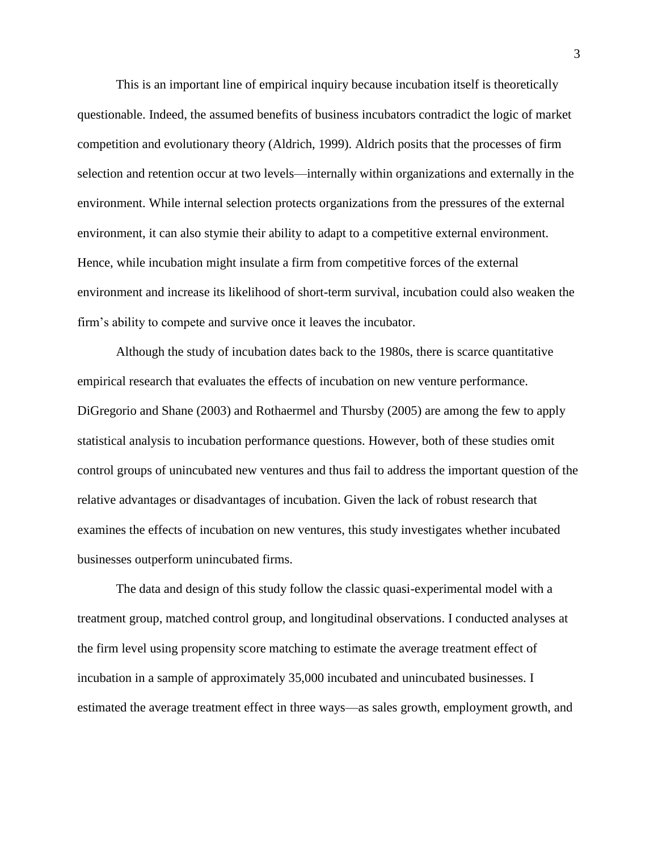This is an important line of empirical inquiry because incubation itself is theoretically questionable. Indeed, the assumed benefits of business incubators contradict the logic of market competition and evolutionary theory (Aldrich, 1999). Aldrich posits that the processes of firm selection and retention occur at two levels—internally within organizations and externally in the environment. While internal selection protects organizations from the pressures of the external environment, it can also stymie their ability to adapt to a competitive external environment. Hence, while incubation might insulate a firm from competitive forces of the external environment and increase its likelihood of short-term survival, incubation could also weaken the firm's ability to compete and survive once it leaves the incubator.

Although the study of incubation dates back to the 1980s, there is scarce quantitative empirical research that evaluates the effects of incubation on new venture performance. DiGregorio and Shane (2003) and Rothaermel and Thursby (2005) are among the few to apply statistical analysis to incubation performance questions. However, both of these studies omit control groups of unincubated new ventures and thus fail to address the important question of the relative advantages or disadvantages of incubation. Given the lack of robust research that examines the effects of incubation on new ventures, this study investigates whether incubated businesses outperform unincubated firms.

The data and design of this study follow the classic quasi-experimental model with a treatment group, matched control group, and longitudinal observations. I conducted analyses at the firm level using propensity score matching to estimate the average treatment effect of incubation in a sample of approximately 35,000 incubated and unincubated businesses. I estimated the average treatment effect in three ways—as sales growth, employment growth, and

3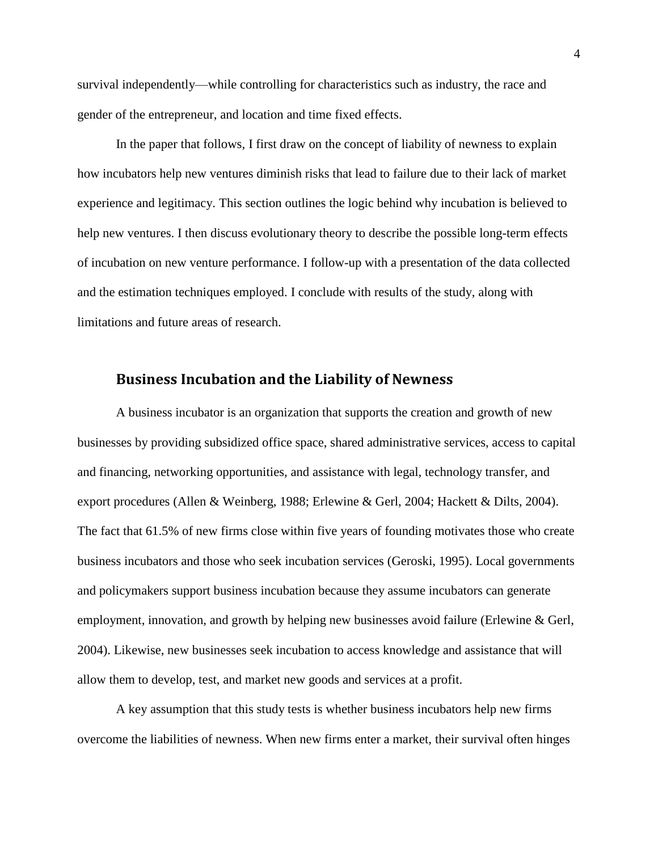survival independently—while controlling for characteristics such as industry, the race and gender of the entrepreneur, and location and time fixed effects.

In the paper that follows, I first draw on the concept of liability of newness to explain how incubators help new ventures diminish risks that lead to failure due to their lack of market experience and legitimacy. This section outlines the logic behind why incubation is believed to help new ventures. I then discuss evolutionary theory to describe the possible long-term effects of incubation on new venture performance. I follow-up with a presentation of the data collected and the estimation techniques employed. I conclude with results of the study, along with limitations and future areas of research.

#### **Business Incubation and the Liability of Newness**

A business incubator is an organization that supports the creation and growth of new businesses by providing subsidized office space, shared administrative services, access to capital and financing, networking opportunities, and assistance with legal, technology transfer, and export procedures (Allen & Weinberg, 1988; Erlewine & Gerl, 2004; Hackett & Dilts, 2004). The fact that 61.5% of new firms close within five years of founding motivates those who create business incubators and those who seek incubation services (Geroski, 1995). Local governments and policymakers support business incubation because they assume incubators can generate employment, innovation, and growth by helping new businesses avoid failure (Erlewine & Gerl, 2004). Likewise, new businesses seek incubation to access knowledge and assistance that will allow them to develop, test, and market new goods and services at a profit.

A key assumption that this study tests is whether business incubators help new firms overcome the liabilities of newness. When new firms enter a market, their survival often hinges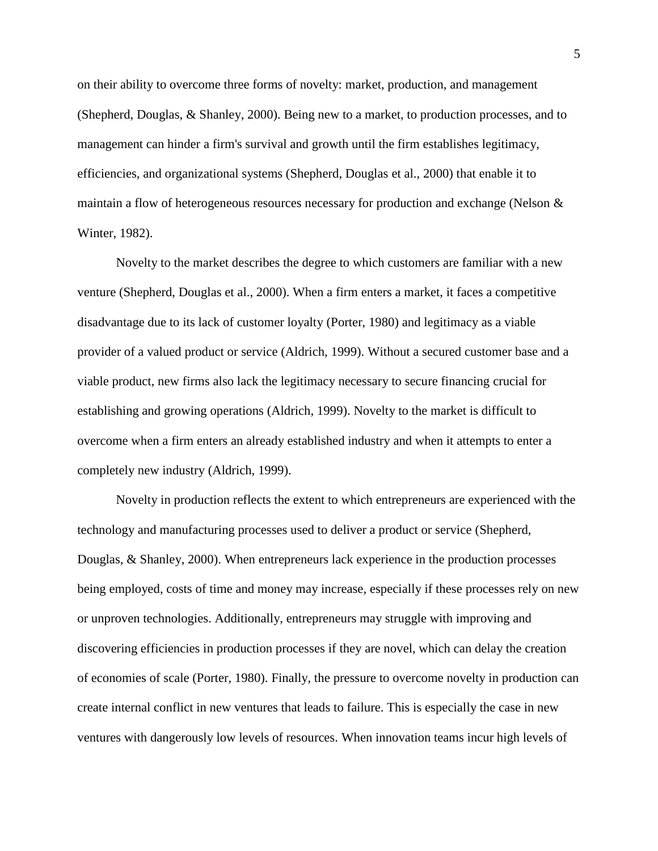on their ability to overcome three forms of novelty: market, production, and management (Shepherd, Douglas, & Shanley, 2000). Being new to a market, to production processes, and to management can hinder a firm's survival and growth until the firm establishes legitimacy, efficiencies, and organizational systems (Shepherd, Douglas et al., 2000) that enable it to maintain a flow of heterogeneous resources necessary for production and exchange (Nelson & Winter, 1982).

Novelty to the market describes the degree to which customers are familiar with a new venture (Shepherd, Douglas et al., 2000). When a firm enters a market, it faces a competitive disadvantage due to its lack of customer loyalty (Porter, 1980) and legitimacy as a viable provider of a valued product or service (Aldrich, 1999). Without a secured customer base and a viable product, new firms also lack the legitimacy necessary to secure financing crucial for establishing and growing operations (Aldrich, 1999). Novelty to the market is difficult to overcome when a firm enters an already established industry and when it attempts to enter a completely new industry (Aldrich, 1999).

Novelty in production reflects the extent to which entrepreneurs are experienced with the technology and manufacturing processes used to deliver a product or service (Shepherd, Douglas, & Shanley, 2000). When entrepreneurs lack experience in the production processes being employed, costs of time and money may increase, especially if these processes rely on new or unproven technologies. Additionally, entrepreneurs may struggle with improving and discovering efficiencies in production processes if they are novel, which can delay the creation of economies of scale (Porter, 1980). Finally, the pressure to overcome novelty in production can create internal conflict in new ventures that leads to failure. This is especially the case in new ventures with dangerously low levels of resources. When innovation teams incur high levels of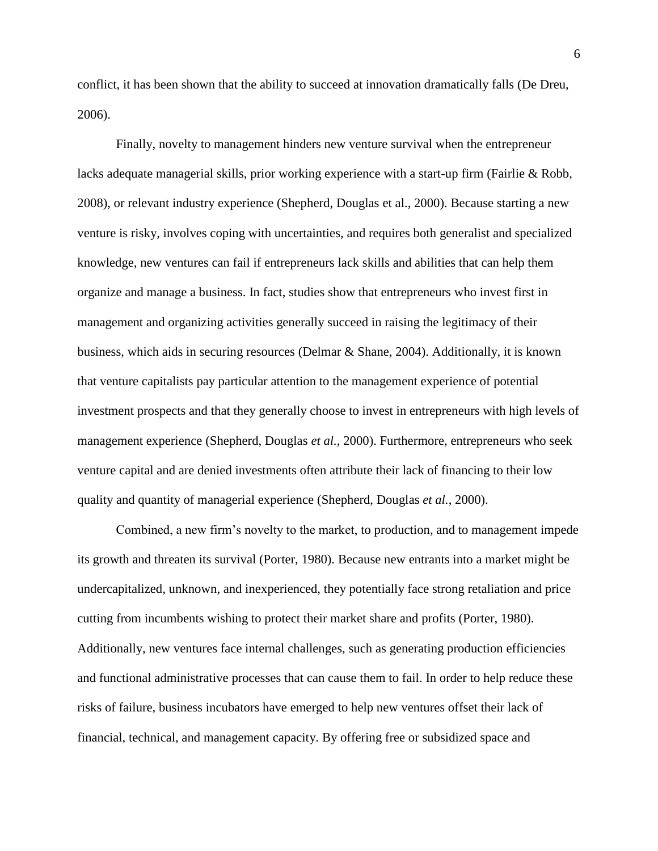conflict, it has been shown that the ability to succeed at innovation dramatically falls (De Dreu, 2006).

Finally, novelty to management hinders new venture survival when the entrepreneur lacks adequate managerial skills, prior working experience with a start-up firm (Fairlie & Robb, 2008), or relevant industry experience (Shepherd, Douglas et al., 2000). Because starting a new venture is risky, involves coping with uncertainties, and requires both generalist and specialized knowledge, new ventures can fail if entrepreneurs lack skills and abilities that can help them organize and manage a business. In fact, studies show that entrepreneurs who invest first in management and organizing activities generally succeed in raising the legitimacy of their business, which aids in securing resources (Delmar & Shane, 2004). Additionally, it is known that venture capitalists pay particular attention to the management experience of potential investment prospects and that they generally choose to invest in entrepreneurs with high levels of management experience (Shepherd, Douglas *et al.*, 2000). Furthermore, entrepreneurs who seek venture capital and are denied investments often attribute their lack of financing to their low quality and quantity of managerial experience (Shepherd, Douglas *et al.*, 2000).

Combined, a new firm's novelty to the market, to production, and to management impede its growth and threaten its survival (Porter, 1980). Because new entrants into a market might be undercapitalized, unknown, and inexperienced, they potentially face strong retaliation and price cutting from incumbents wishing to protect their market share and profits (Porter, 1980). Additionally, new ventures face internal challenges, such as generating production efficiencies and functional administrative processes that can cause them to fail. In order to help reduce these risks of failure, business incubators have emerged to help new ventures offset their lack of financial, technical, and management capacity. By offering free or subsidized space and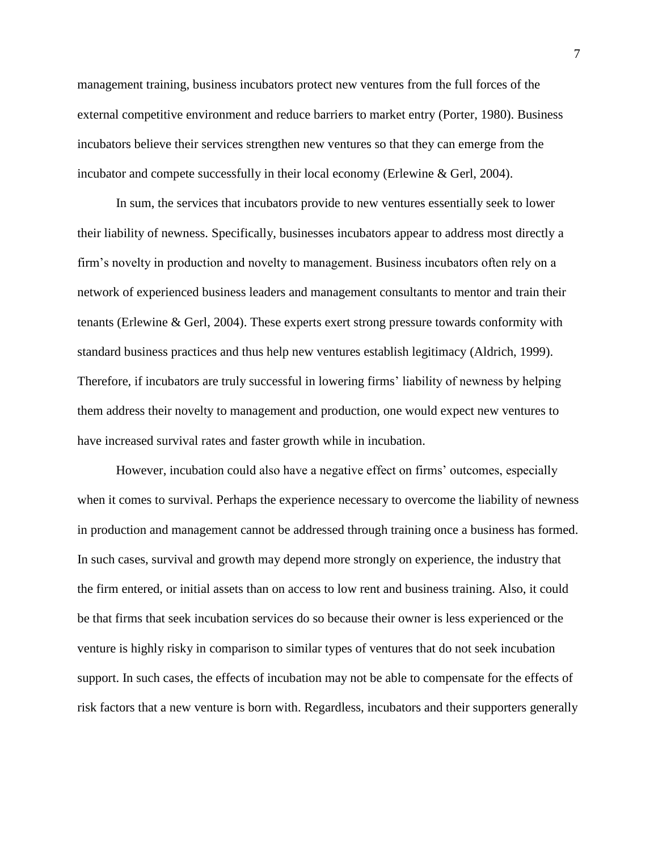management training, business incubators protect new ventures from the full forces of the external competitive environment and reduce barriers to market entry (Porter, 1980). Business incubators believe their services strengthen new ventures so that they can emerge from the incubator and compete successfully in their local economy (Erlewine & Gerl, 2004).

In sum, the services that incubators provide to new ventures essentially seek to lower their liability of newness. Specifically, businesses incubators appear to address most directly a firm's novelty in production and novelty to management. Business incubators often rely on a network of experienced business leaders and management consultants to mentor and train their tenants (Erlewine & Gerl, 2004). These experts exert strong pressure towards conformity with standard business practices and thus help new ventures establish legitimacy (Aldrich, 1999). Therefore, if incubators are truly successful in lowering firms' liability of newness by helping them address their novelty to management and production, one would expect new ventures to have increased survival rates and faster growth while in incubation.

However, incubation could also have a negative effect on firms' outcomes, especially when it comes to survival. Perhaps the experience necessary to overcome the liability of newness in production and management cannot be addressed through training once a business has formed. In such cases, survival and growth may depend more strongly on experience, the industry that the firm entered, or initial assets than on access to low rent and business training. Also, it could be that firms that seek incubation services do so because their owner is less experienced or the venture is highly risky in comparison to similar types of ventures that do not seek incubation support. In such cases, the effects of incubation may not be able to compensate for the effects of risk factors that a new venture is born with. Regardless, incubators and their supporters generally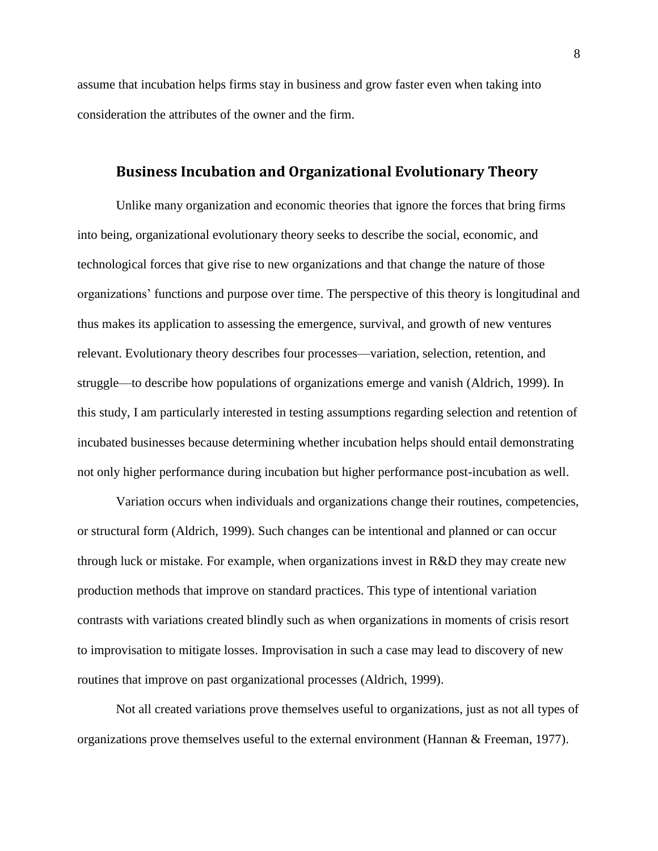assume that incubation helps firms stay in business and grow faster even when taking into consideration the attributes of the owner and the firm.

## **Business Incubation and Organizational Evolutionary Theory**

Unlike many organization and economic theories that ignore the forces that bring firms into being, organizational evolutionary theory seeks to describe the social, economic, and technological forces that give rise to new organizations and that change the nature of those organizations' functions and purpose over time. The perspective of this theory is longitudinal and thus makes its application to assessing the emergence, survival, and growth of new ventures relevant. Evolutionary theory describes four processes—variation, selection, retention, and struggle—to describe how populations of organizations emerge and vanish (Aldrich, 1999). In this study, I am particularly interested in testing assumptions regarding selection and retention of incubated businesses because determining whether incubation helps should entail demonstrating not only higher performance during incubation but higher performance post-incubation as well.

Variation occurs when individuals and organizations change their routines, competencies, or structural form (Aldrich, 1999). Such changes can be intentional and planned or can occur through luck or mistake. For example, when organizations invest in R&D they may create new production methods that improve on standard practices. This type of intentional variation contrasts with variations created blindly such as when organizations in moments of crisis resort to improvisation to mitigate losses. Improvisation in such a case may lead to discovery of new routines that improve on past organizational processes (Aldrich, 1999).

Not all created variations prove themselves useful to organizations, just as not all types of organizations prove themselves useful to the external environment (Hannan & Freeman, 1977).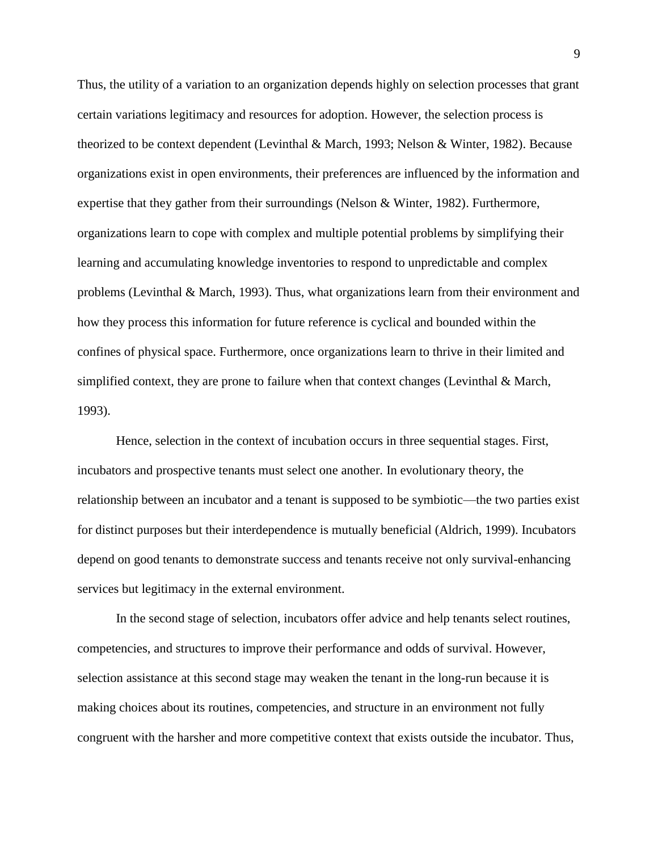Thus, the utility of a variation to an organization depends highly on selection processes that grant certain variations legitimacy and resources for adoption. However, the selection process is theorized to be context dependent (Levinthal & March, 1993; Nelson & Winter, 1982). Because organizations exist in open environments, their preferences are influenced by the information and expertise that they gather from their surroundings (Nelson & Winter, 1982). Furthermore, organizations learn to cope with complex and multiple potential problems by simplifying their learning and accumulating knowledge inventories to respond to unpredictable and complex problems (Levinthal & March, 1993). Thus, what organizations learn from their environment and how they process this information for future reference is cyclical and bounded within the confines of physical space. Furthermore, once organizations learn to thrive in their limited and simplified context, they are prone to failure when that context changes (Levinthal & March, 1993).

Hence, selection in the context of incubation occurs in three sequential stages. First, incubators and prospective tenants must select one another. In evolutionary theory, the relationship between an incubator and a tenant is supposed to be symbiotic—the two parties exist for distinct purposes but their interdependence is mutually beneficial (Aldrich, 1999). Incubators depend on good tenants to demonstrate success and tenants receive not only survival-enhancing services but legitimacy in the external environment.

In the second stage of selection, incubators offer advice and help tenants select routines, competencies, and structures to improve their performance and odds of survival. However, selection assistance at this second stage may weaken the tenant in the long-run because it is making choices about its routines, competencies, and structure in an environment not fully congruent with the harsher and more competitive context that exists outside the incubator. Thus,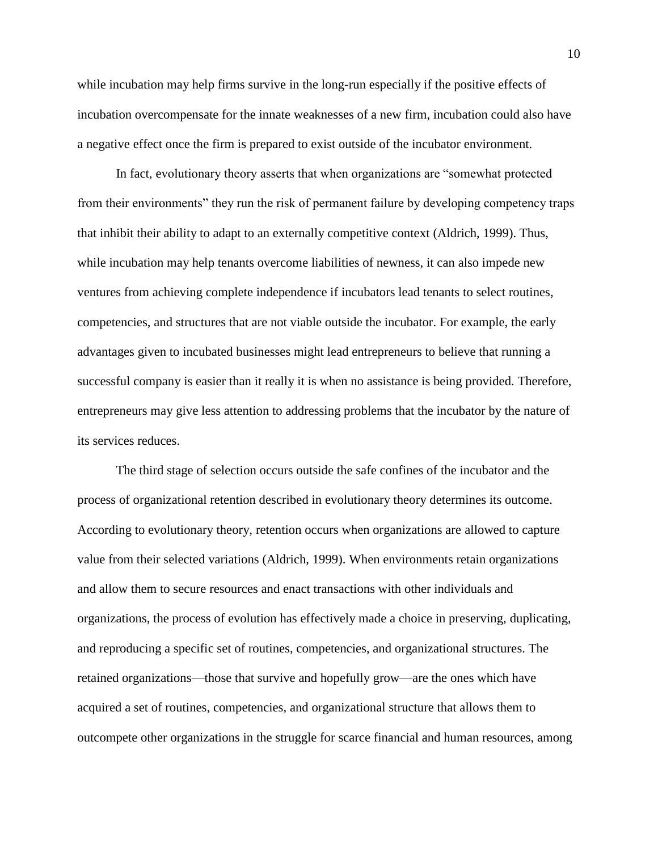while incubation may help firms survive in the long-run especially if the positive effects of incubation overcompensate for the innate weaknesses of a new firm, incubation could also have a negative effect once the firm is prepared to exist outside of the incubator environment.

In fact, evolutionary theory asserts that when organizations are "somewhat protected from their environments" they run the risk of permanent failure by developing competency traps that inhibit their ability to adapt to an externally competitive context (Aldrich, 1999). Thus, while incubation may help tenants overcome liabilities of newness, it can also impede new ventures from achieving complete independence if incubators lead tenants to select routines, competencies, and structures that are not viable outside the incubator. For example, the early advantages given to incubated businesses might lead entrepreneurs to believe that running a successful company is easier than it really it is when no assistance is being provided. Therefore, entrepreneurs may give less attention to addressing problems that the incubator by the nature of its services reduces.

The third stage of selection occurs outside the safe confines of the incubator and the process of organizational retention described in evolutionary theory determines its outcome. According to evolutionary theory, retention occurs when organizations are allowed to capture value from their selected variations (Aldrich, 1999). When environments retain organizations and allow them to secure resources and enact transactions with other individuals and organizations, the process of evolution has effectively made a choice in preserving, duplicating, and reproducing a specific set of routines, competencies, and organizational structures. The retained organizations—those that survive and hopefully grow—are the ones which have acquired a set of routines, competencies, and organizational structure that allows them to outcompete other organizations in the struggle for scarce financial and human resources, among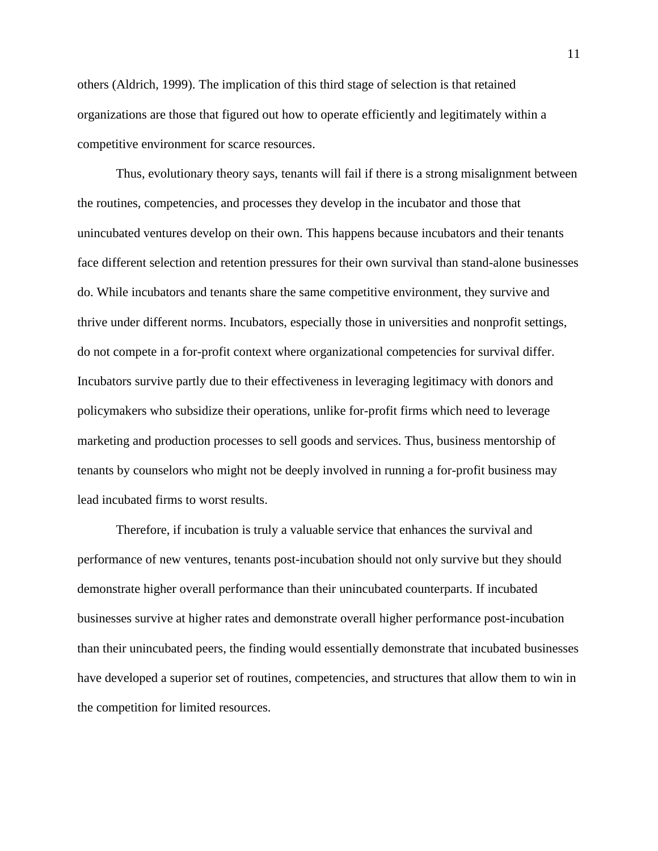others (Aldrich, 1999). The implication of this third stage of selection is that retained organizations are those that figured out how to operate efficiently and legitimately within a competitive environment for scarce resources.

Thus, evolutionary theory says, tenants will fail if there is a strong misalignment between the routines, competencies, and processes they develop in the incubator and those that unincubated ventures develop on their own. This happens because incubators and their tenants face different selection and retention pressures for their own survival than stand-alone businesses do. While incubators and tenants share the same competitive environment, they survive and thrive under different norms. Incubators, especially those in universities and nonprofit settings, do not compete in a for-profit context where organizational competencies for survival differ. Incubators survive partly due to their effectiveness in leveraging legitimacy with donors and policymakers who subsidize their operations, unlike for-profit firms which need to leverage marketing and production processes to sell goods and services. Thus, business mentorship of tenants by counselors who might not be deeply involved in running a for-profit business may lead incubated firms to worst results.

Therefore, if incubation is truly a valuable service that enhances the survival and performance of new ventures, tenants post-incubation should not only survive but they should demonstrate higher overall performance than their unincubated counterparts. If incubated businesses survive at higher rates and demonstrate overall higher performance post-incubation than their unincubated peers, the finding would essentially demonstrate that incubated businesses have developed a superior set of routines, competencies, and structures that allow them to win in the competition for limited resources.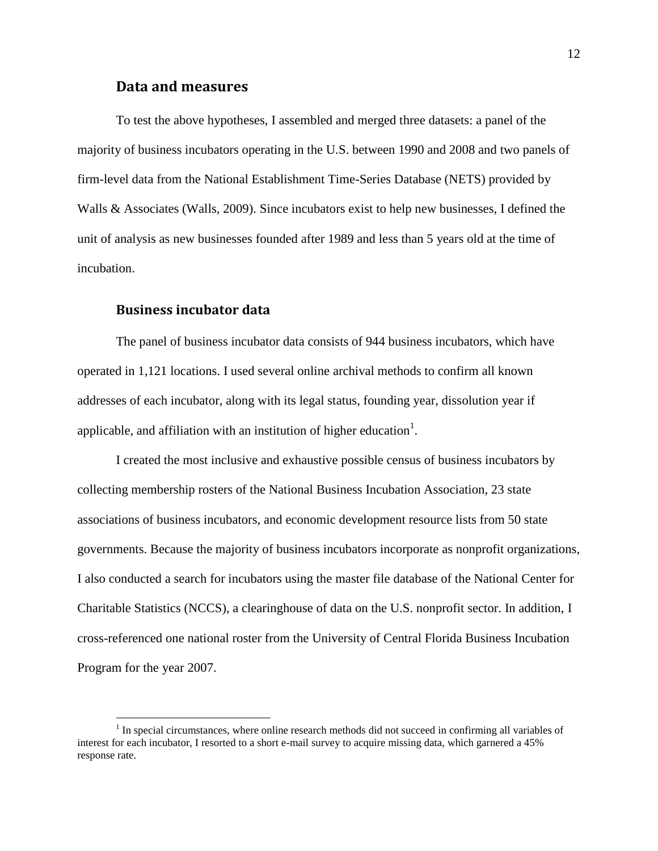#### **Data and measures**

To test the above hypotheses, I assembled and merged three datasets: a panel of the majority of business incubators operating in the U.S. between 1990 and 2008 and two panels of firm-level data from the National Establishment Time-Series Database (NETS) provided by Walls & Associates (Walls, 2009). Since incubators exist to help new businesses, I defined the unit of analysis as new businesses founded after 1989 and less than 5 years old at the time of incubation.

#### **Business incubator data**

 $\overline{a}$ 

The panel of business incubator data consists of 944 business incubators, which have operated in 1,121 locations. I used several online archival methods to confirm all known addresses of each incubator, along with its legal status, founding year, dissolution year if applicable, and affiliation with an institution of higher education<sup>1</sup>.

I created the most inclusive and exhaustive possible census of business incubators by collecting membership rosters of the National Business Incubation Association, 23 state associations of business incubators, and economic development resource lists from 50 state governments. Because the majority of business incubators incorporate as nonprofit organizations, I also conducted a search for incubators using the master file database of the National Center for Charitable Statistics (NCCS), a clearinghouse of data on the U.S. nonprofit sector. In addition, I cross-referenced one national roster from the University of Central Florida Business Incubation Program for the year 2007.

 $<sup>1</sup>$  In special circumstances, where online research methods did not succeed in confirming all variables of</sup> interest for each incubator, I resorted to a short e-mail survey to acquire missing data, which garnered a 45% response rate.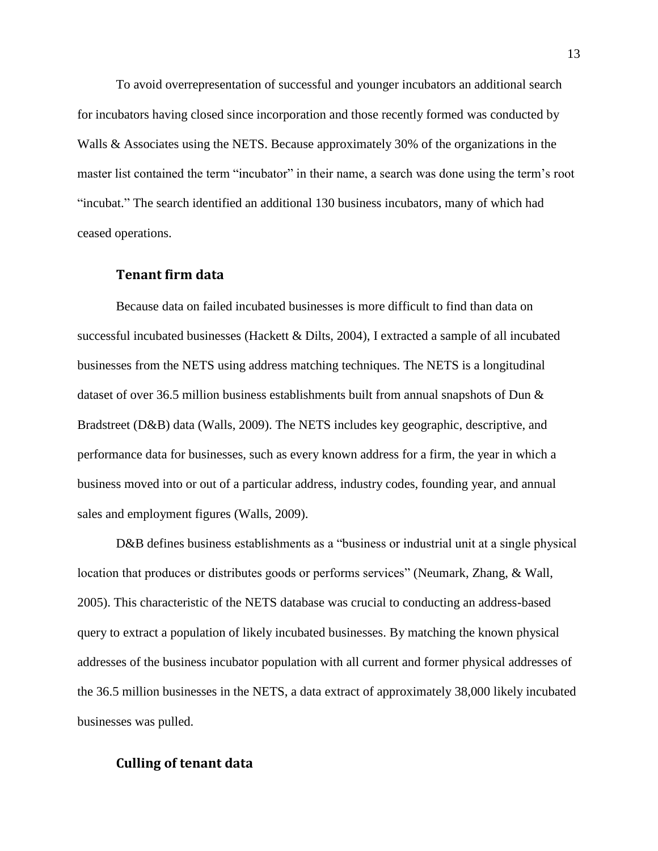To avoid overrepresentation of successful and younger incubators an additional search for incubators having closed since incorporation and those recently formed was conducted by Walls & Associates using the NETS. Because approximately 30% of the organizations in the master list contained the term "incubator" in their name, a search was done using the term's root ―incubat.‖ The search identified an additional 130 business incubators, many of which had ceased operations.

#### **Tenant firm data**

Because data on failed incubated businesses is more difficult to find than data on successful incubated businesses (Hackett & Dilts, 2004), I extracted a sample of all incubated businesses from the NETS using address matching techniques. The NETS is a longitudinal dataset of over 36.5 million business establishments built from annual snapshots of Dun & Bradstreet (D&B) data (Walls, 2009). The NETS includes key geographic, descriptive, and performance data for businesses, such as every known address for a firm, the year in which a business moved into or out of a particular address, industry codes, founding year, and annual sales and employment figures (Walls, 2009).

D&B defines business establishments as a "business or industrial unit at a single physical location that produces or distributes goods or performs services" (Neumark, Zhang, & Wall, 2005). This characteristic of the NETS database was crucial to conducting an address-based query to extract a population of likely incubated businesses. By matching the known physical addresses of the business incubator population with all current and former physical addresses of the 36.5 million businesses in the NETS, a data extract of approximately 38,000 likely incubated businesses was pulled.

## **Culling of tenant data**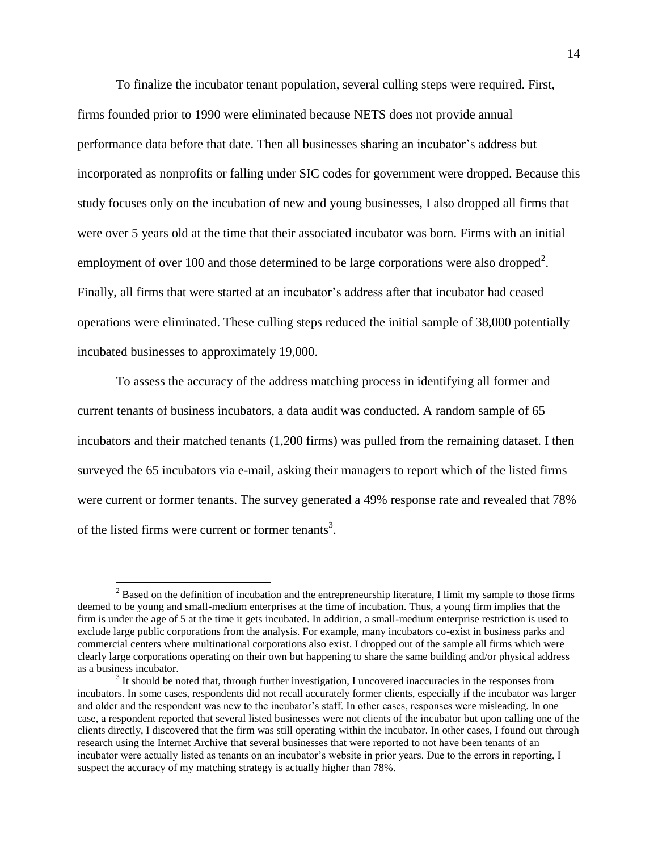To finalize the incubator tenant population, several culling steps were required. First, firms founded prior to 1990 were eliminated because NETS does not provide annual performance data before that date. Then all businesses sharing an incubator's address but incorporated as nonprofits or falling under SIC codes for government were dropped. Because this study focuses only on the incubation of new and young businesses, I also dropped all firms that were over 5 years old at the time that their associated incubator was born. Firms with an initial employment of over 100 and those determined to be large corporations were also dropped<sup>2</sup>. Finally, all firms that were started at an incubator's address after that incubator had ceased operations were eliminated. These culling steps reduced the initial sample of 38,000 potentially incubated businesses to approximately 19,000.

To assess the accuracy of the address matching process in identifying all former and current tenants of business incubators, a data audit was conducted. A random sample of 65 incubators and their matched tenants (1,200 firms) was pulled from the remaining dataset. I then surveyed the 65 incubators via e-mail, asking their managers to report which of the listed firms were current or former tenants. The survey generated a 49% response rate and revealed that 78% of the listed firms were current or former tenants<sup>3</sup>.

 $\overline{a}$ 

<sup>&</sup>lt;sup>2</sup> Based on the definition of incubation and the entrepreneurship literature, I limit my sample to those firms deemed to be young and small-medium enterprises at the time of incubation. Thus, a young firm implies that the firm is under the age of 5 at the time it gets incubated. In addition, a small-medium enterprise restriction is used to exclude large public corporations from the analysis. For example, many incubators co-exist in business parks and commercial centers where multinational corporations also exist. I dropped out of the sample all firms which were clearly large corporations operating on their own but happening to share the same building and/or physical address as a business incubator.

 $3$  It should be noted that, through further investigation, I uncovered inaccuracies in the responses from incubators. In some cases, respondents did not recall accurately former clients, especially if the incubator was larger and older and the respondent was new to the incubator's staff. In other cases, responses were misleading. In one case, a respondent reported that several listed businesses were not clients of the incubator but upon calling one of the clients directly, I discovered that the firm was still operating within the incubator. In other cases, I found out through research using the Internet Archive that several businesses that were reported to not have been tenants of an incubator were actually listed as tenants on an incubator's website in prior years. Due to the errors in reporting, I suspect the accuracy of my matching strategy is actually higher than 78%.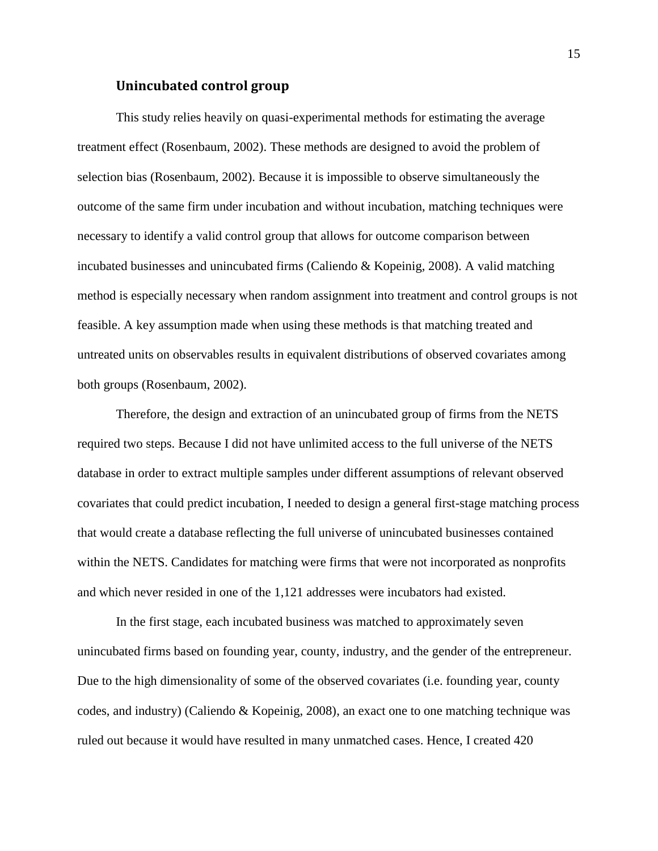#### **Unincubated control group**

This study relies heavily on quasi-experimental methods for estimating the average treatment effect (Rosenbaum, 2002). These methods are designed to avoid the problem of selection bias (Rosenbaum, 2002). Because it is impossible to observe simultaneously the outcome of the same firm under incubation and without incubation, matching techniques were necessary to identify a valid control group that allows for outcome comparison between incubated businesses and unincubated firms (Caliendo & Kopeinig, 2008). A valid matching method is especially necessary when random assignment into treatment and control groups is not feasible. A key assumption made when using these methods is that matching treated and untreated units on observables results in equivalent distributions of observed covariates among both groups (Rosenbaum, 2002).

Therefore, the design and extraction of an unincubated group of firms from the NETS required two steps. Because I did not have unlimited access to the full universe of the NETS database in order to extract multiple samples under different assumptions of relevant observed covariates that could predict incubation, I needed to design a general first-stage matching process that would create a database reflecting the full universe of unincubated businesses contained within the NETS. Candidates for matching were firms that were not incorporated as nonprofits and which never resided in one of the 1,121 addresses were incubators had existed.

In the first stage, each incubated business was matched to approximately seven unincubated firms based on founding year, county, industry, and the gender of the entrepreneur. Due to the high dimensionality of some of the observed covariates (i.e. founding year, county codes, and industry) (Caliendo & Kopeinig, 2008), an exact one to one matching technique was ruled out because it would have resulted in many unmatched cases. Hence, I created 420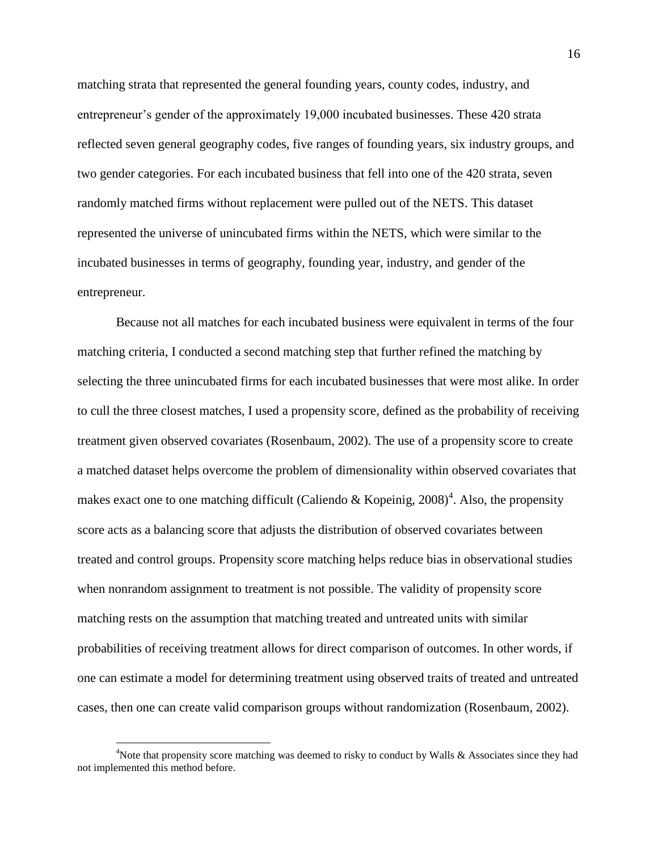matching strata that represented the general founding years, county codes, industry, and entrepreneur's gender of the approximately 19,000 incubated businesses. These 420 strata reflected seven general geography codes, five ranges of founding years, six industry groups, and two gender categories. For each incubated business that fell into one of the 420 strata, seven randomly matched firms without replacement were pulled out of the NETS. This dataset represented the universe of unincubated firms within the NETS, which were similar to the incubated businesses in terms of geography, founding year, industry, and gender of the entrepreneur.

Because not all matches for each incubated business were equivalent in terms of the four matching criteria, I conducted a second matching step that further refined the matching by selecting the three unincubated firms for each incubated businesses that were most alike. In order to cull the three closest matches, I used a propensity score, defined as the probability of receiving treatment given observed covariates (Rosenbaum, 2002). The use of a propensity score to create a matched dataset helps overcome the problem of dimensionality within observed covariates that makes exact one to one matching difficult (Caliendo & Kopeinig,  $2008)^4$ . Also, the propensity score acts as a balancing score that adjusts the distribution of observed covariates between treated and control groups. Propensity score matching helps reduce bias in observational studies when nonrandom assignment to treatment is not possible. The validity of propensity score matching rests on the assumption that matching treated and untreated units with similar probabilities of receiving treatment allows for direct comparison of outcomes. In other words, if one can estimate a model for determining treatment using observed traits of treated and untreated cases, then one can create valid comparison groups without randomization (Rosenbaum, 2002).

 $\overline{a}$ 

<sup>&</sup>lt;sup>4</sup>Note that propensity score matching was deemed to risky to conduct by Walls & Associates since they had not implemented this method before.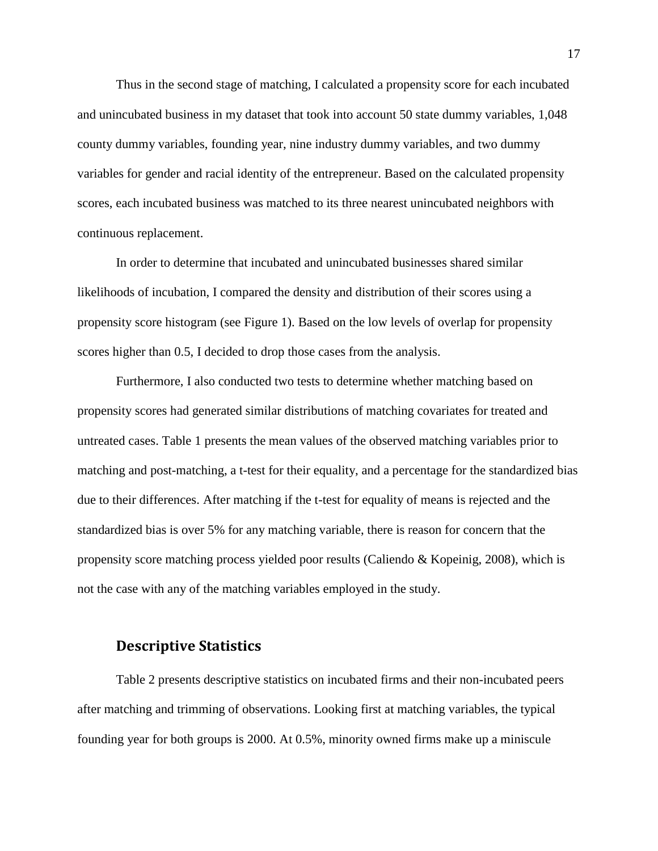Thus in the second stage of matching, I calculated a propensity score for each incubated and unincubated business in my dataset that took into account 50 state dummy variables, 1,048 county dummy variables, founding year, nine industry dummy variables, and two dummy variables for gender and racial identity of the entrepreneur. Based on the calculated propensity scores, each incubated business was matched to its three nearest unincubated neighbors with continuous replacement.

In order to determine that incubated and unincubated businesses shared similar likelihoods of incubation, I compared the density and distribution of their scores using a propensity score histogram (see Figure 1). Based on the low levels of overlap for propensity scores higher than 0.5, I decided to drop those cases from the analysis.

Furthermore, I also conducted two tests to determine whether matching based on propensity scores had generated similar distributions of matching covariates for treated and untreated cases. Table 1 presents the mean values of the observed matching variables prior to matching and post-matching, a t-test for their equality, and a percentage for the standardized bias due to their differences. After matching if the t-test for equality of means is rejected and the standardized bias is over 5% for any matching variable, there is reason for concern that the propensity score matching process yielded poor results (Caliendo & Kopeinig, 2008), which is not the case with any of the matching variables employed in the study.

## **Descriptive Statistics**

Table 2 presents descriptive statistics on incubated firms and their non-incubated peers after matching and trimming of observations. Looking first at matching variables, the typical founding year for both groups is 2000. At 0.5%, minority owned firms make up a miniscule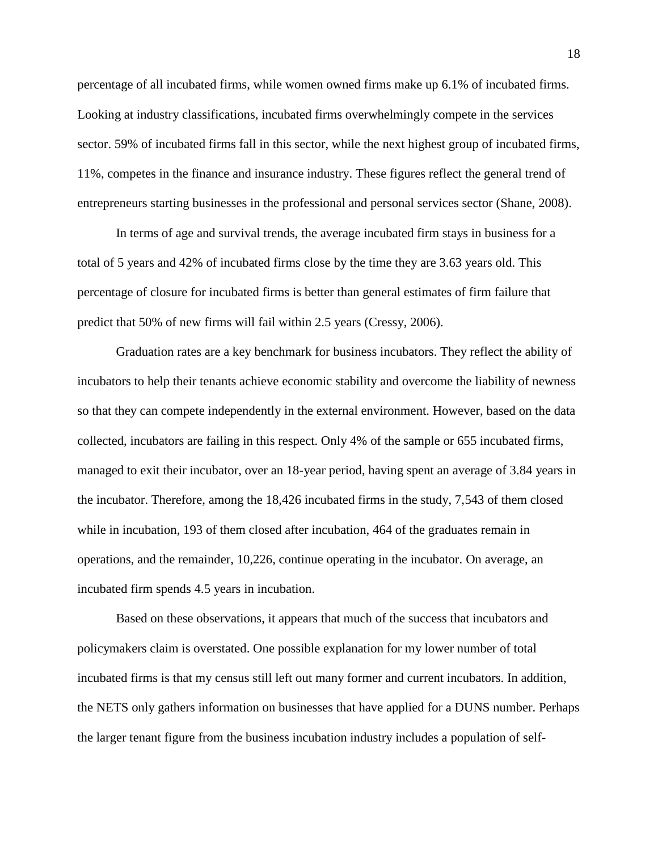percentage of all incubated firms, while women owned firms make up 6.1% of incubated firms. Looking at industry classifications, incubated firms overwhelmingly compete in the services sector. 59% of incubated firms fall in this sector, while the next highest group of incubated firms, 11%, competes in the finance and insurance industry. These figures reflect the general trend of entrepreneurs starting businesses in the professional and personal services sector (Shane, 2008).

In terms of age and survival trends, the average incubated firm stays in business for a total of 5 years and 42% of incubated firms close by the time they are 3.63 years old. This percentage of closure for incubated firms is better than general estimates of firm failure that predict that 50% of new firms will fail within 2.5 years (Cressy, 2006).

Graduation rates are a key benchmark for business incubators. They reflect the ability of incubators to help their tenants achieve economic stability and overcome the liability of newness so that they can compete independently in the external environment. However, based on the data collected, incubators are failing in this respect. Only 4% of the sample or 655 incubated firms, managed to exit their incubator, over an 18-year period, having spent an average of 3.84 years in the incubator. Therefore, among the 18,426 incubated firms in the study, 7,543 of them closed while in incubation, 193 of them closed after incubation, 464 of the graduates remain in operations, and the remainder, 10,226, continue operating in the incubator. On average, an incubated firm spends 4.5 years in incubation.

Based on these observations, it appears that much of the success that incubators and policymakers claim is overstated. One possible explanation for my lower number of total incubated firms is that my census still left out many former and current incubators. In addition, the NETS only gathers information on businesses that have applied for a DUNS number. Perhaps the larger tenant figure from the business incubation industry includes a population of self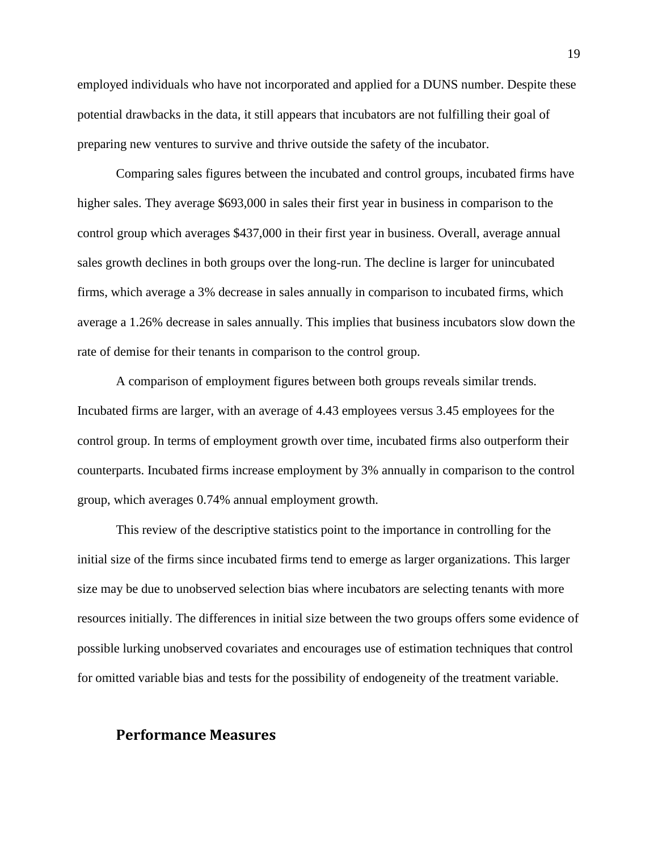employed individuals who have not incorporated and applied for a DUNS number. Despite these potential drawbacks in the data, it still appears that incubators are not fulfilling their goal of preparing new ventures to survive and thrive outside the safety of the incubator.

Comparing sales figures between the incubated and control groups, incubated firms have higher sales. They average \$693,000 in sales their first year in business in comparison to the control group which averages \$437,000 in their first year in business. Overall, average annual sales growth declines in both groups over the long-run. The decline is larger for unincubated firms, which average a 3% decrease in sales annually in comparison to incubated firms, which average a 1.26% decrease in sales annually. This implies that business incubators slow down the rate of demise for their tenants in comparison to the control group.

A comparison of employment figures between both groups reveals similar trends. Incubated firms are larger, with an average of 4.43 employees versus 3.45 employees for the control group. In terms of employment growth over time, incubated firms also outperform their counterparts. Incubated firms increase employment by 3% annually in comparison to the control group, which averages 0.74% annual employment growth.

This review of the descriptive statistics point to the importance in controlling for the initial size of the firms since incubated firms tend to emerge as larger organizations. This larger size may be due to unobserved selection bias where incubators are selecting tenants with more resources initially. The differences in initial size between the two groups offers some evidence of possible lurking unobserved covariates and encourages use of estimation techniques that control for omitted variable bias and tests for the possibility of endogeneity of the treatment variable.

## **Performance Measures**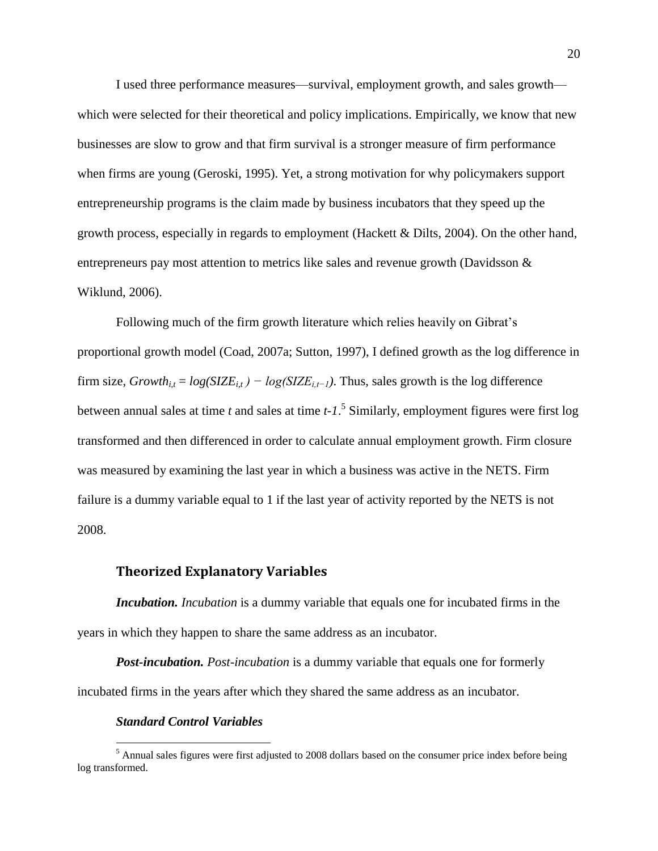I used three performance measures—survival, employment growth, and sales growth which were selected for their theoretical and policy implications. Empirically, we know that new businesses are slow to grow and that firm survival is a stronger measure of firm performance when firms are young (Geroski, 1995). Yet, a strong motivation for why policymakers support entrepreneurship programs is the claim made by business incubators that they speed up the growth process, especially in regards to employment (Hackett & Dilts, 2004). On the other hand, entrepreneurs pay most attention to metrics like sales and revenue growth (Davidsson & Wiklund, 2006).

Following much of the firm growth literature which relies heavily on Gibrat's proportional growth model (Coad, 2007a; Sutton, 1997), I defined growth as the log difference in firm size,  $Growth_{i,t} = log(SIZE_{i,t}) - log(SIZE_{i,t-1})$ . Thus, sales growth is the log difference between annual sales at time *t* and sales at time *t-1*. 5 Similarly, employment figures were first log transformed and then differenced in order to calculate annual employment growth. Firm closure was measured by examining the last year in which a business was active in the NETS. Firm failure is a dummy variable equal to 1 if the last year of activity reported by the NETS is not 2008.

#### **Theorized Explanatory Variables**

*Incubation. Incubation* is a dummy variable that equals one for incubated firms in the years in which they happen to share the same address as an incubator.

*Post-incubation. Post-incubation* is a dummy variable that equals one for formerly incubated firms in the years after which they shared the same address as an incubator.

#### *Standard Control Variables*

 $\overline{a}$ 

 $<sup>5</sup>$  Annual sales figures were first adjusted to 2008 dollars based on the consumer price index before being</sup> log transformed.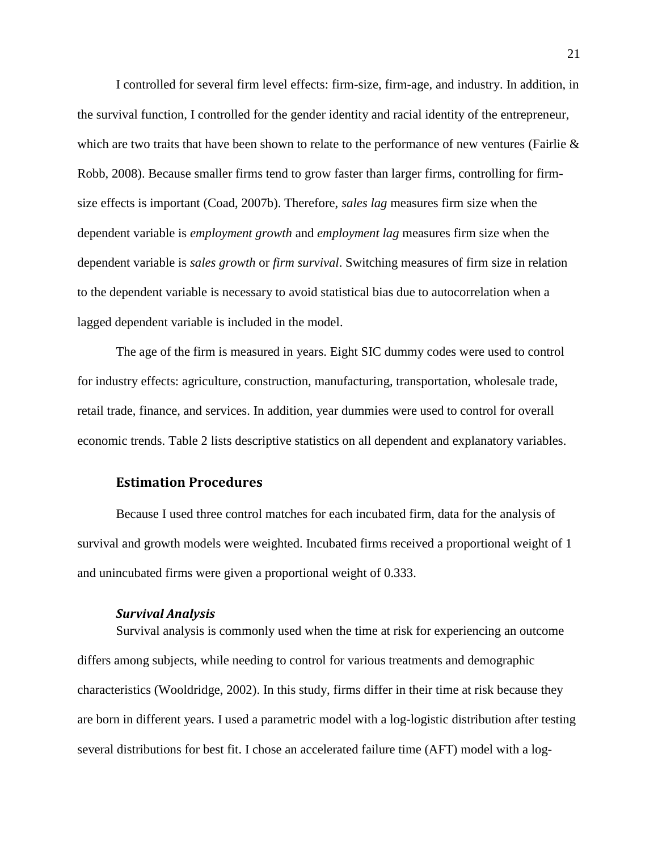I controlled for several firm level effects: firm-size, firm-age, and industry. In addition, in the survival function, I controlled for the gender identity and racial identity of the entrepreneur, which are two traits that have been shown to relate to the performance of new ventures (Fairlie  $\&$ Robb, 2008). Because smaller firms tend to grow faster than larger firms, controlling for firmsize effects is important (Coad, 2007b). Therefore, *sales lag* measures firm size when the dependent variable is *employment growth* and *employment lag* measures firm size when the dependent variable is *sales growth* or *firm survival*. Switching measures of firm size in relation to the dependent variable is necessary to avoid statistical bias due to autocorrelation when a lagged dependent variable is included in the model.

The age of the firm is measured in years. Eight SIC dummy codes were used to control for industry effects: agriculture, construction, manufacturing, transportation, wholesale trade, retail trade, finance, and services. In addition, year dummies were used to control for overall economic trends. Table 2 lists descriptive statistics on all dependent and explanatory variables.

## **Estimation Procedures**

Because I used three control matches for each incubated firm, data for the analysis of survival and growth models were weighted. Incubated firms received a proportional weight of 1 and unincubated firms were given a proportional weight of 0.333.

#### *Survival Analysis*

Survival analysis is commonly used when the time at risk for experiencing an outcome differs among subjects, while needing to control for various treatments and demographic characteristics (Wooldridge, 2002). In this study, firms differ in their time at risk because they are born in different years. I used a parametric model with a log-logistic distribution after testing several distributions for best fit. I chose an accelerated failure time (AFT) model with a log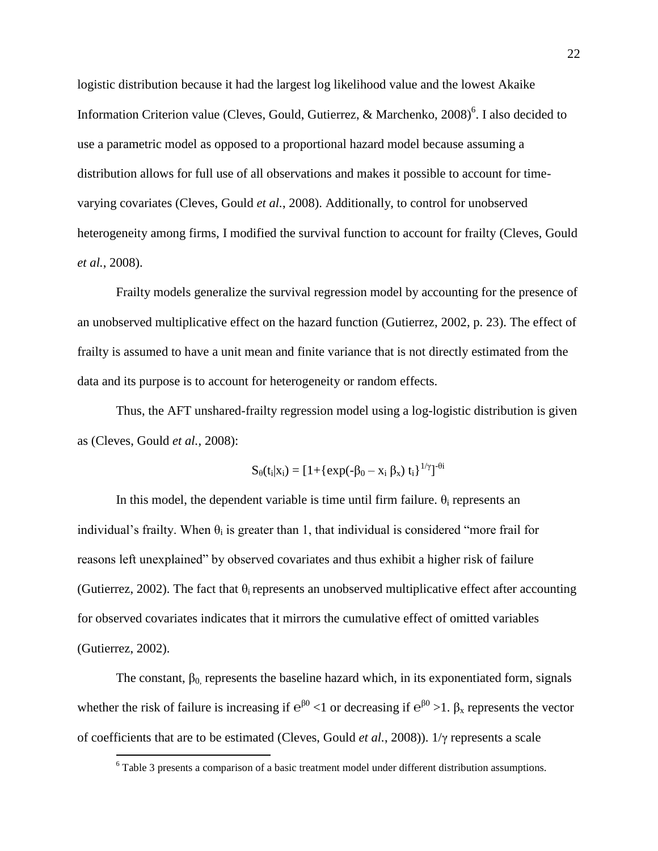logistic distribution because it had the largest log likelihood value and the lowest Akaike Information Criterion value (Cleves, Gould, Gutierrez, & Marchenko, 2008)<sup>6</sup>. I also decided to use a parametric model as opposed to a proportional hazard model because assuming a distribution allows for full use of all observations and makes it possible to account for timevarying covariates (Cleves, Gould *et al.*, 2008). Additionally, to control for unobserved heterogeneity among firms, I modified the survival function to account for frailty (Cleves, Gould *et al.*, 2008).

Frailty models generalize the survival regression model by accounting for the presence of an unobserved multiplicative effect on the hazard function (Gutierrez, 2002, p. 23). The effect of frailty is assumed to have a unit mean and finite variance that is not directly estimated from the data and its purpose is to account for heterogeneity or random effects.

Thus, the AFT unshared-frailty regression model using a log-logistic distribution is given as (Cleves, Gould *et al.*, 2008):

$$
S_{\theta}(t_i|x_i) = [1 + {\exp(-\beta_0 - x_i \beta_x) t_i}]^{1/\gamma} J^{-\theta i}
$$

In this model, the dependent variable is time until firm failure.  $\theta_i$  represents an individual's frailty. When  $\theta_i$  is greater than 1, that individual is considered "more frail for reasons left unexplained" by observed covariates and thus exhibit a higher risk of failure (Gutierrez, 2002). The fact that  $\theta_i$  represents an unobserved multiplicative effect after accounting for observed covariates indicates that it mirrors the cumulative effect of omitted variables (Gutierrez, 2002).

The constant,  $\beta_0$  represents the baseline hazard which, in its exponentiated form, signals whether the risk of failure is increasing if  $e^{\beta 0}$  < 1 or decreasing if  $e^{\beta 0}$  > 1.  $\beta_x$  represents the vector of coefficients that are to be estimated (Cleves, Gould *et al.*, 2008)). 1/γ represents a scale

 $\overline{a}$ 

 $6$  Table 3 presents a comparison of a basic treatment model under different distribution assumptions.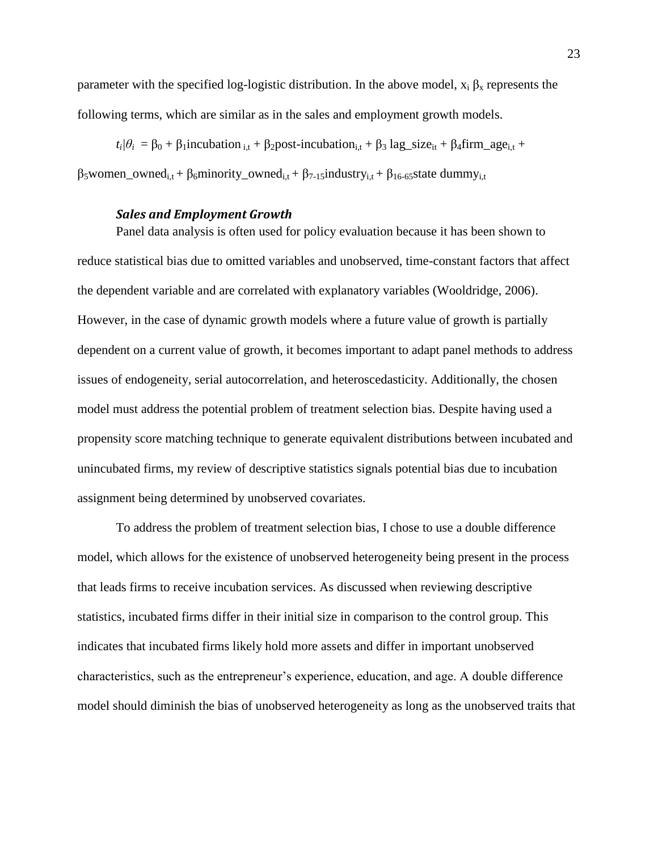parameter with the specified log-logistic distribution. In the above model,  $x_i \beta_x$  represents the following terms, which are similar as in the sales and employment growth models.

 $t_i/\theta_i = \beta_0 + \beta_1$ incubation  $t_i + \beta_2$ post-incubation<sub>i,t</sub> +  $\beta_3$  lag\_size<sub>it</sub> +  $\beta_4$ firm\_age<sub>i,t</sub> +

 $β_5$ women\_owned<sub>i,t</sub> + β<sub>6</sub>minority\_owned<sub>i,t</sub> + β<sub>7-15</sub>industry<sub>i,t</sub> + β<sub>16-65</sub>state dummy<sub>i,t</sub>

#### *Sales and Employment Growth*

Panel data analysis is often used for policy evaluation because it has been shown to reduce statistical bias due to omitted variables and unobserved, time-constant factors that affect the dependent variable and are correlated with explanatory variables (Wooldridge, 2006). However, in the case of dynamic growth models where a future value of growth is partially dependent on a current value of growth, it becomes important to adapt panel methods to address issues of endogeneity, serial autocorrelation, and heteroscedasticity. Additionally, the chosen model must address the potential problem of treatment selection bias. Despite having used a propensity score matching technique to generate equivalent distributions between incubated and unincubated firms, my review of descriptive statistics signals potential bias due to incubation assignment being determined by unobserved covariates.

To address the problem of treatment selection bias, I chose to use a double difference model, which allows for the existence of unobserved heterogeneity being present in the process that leads firms to receive incubation services. As discussed when reviewing descriptive statistics, incubated firms differ in their initial size in comparison to the control group. This indicates that incubated firms likely hold more assets and differ in important unobserved characteristics, such as the entrepreneur's experience, education, and age. A double difference model should diminish the bias of unobserved heterogeneity as long as the unobserved traits that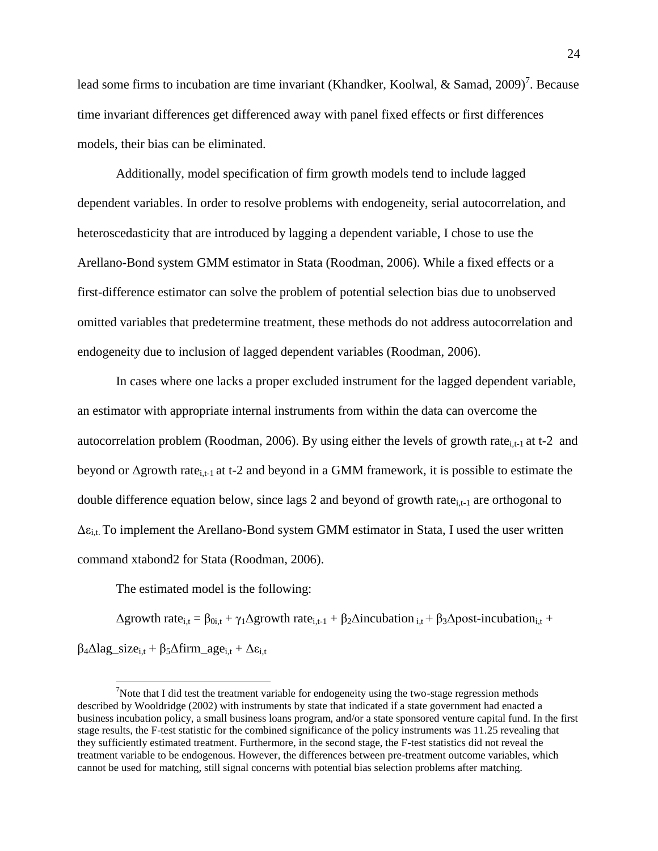lead some firms to incubation are time invariant (Khandker, Koolwal, & Samad, 2009)<sup>7</sup>. Because time invariant differences get differenced away with panel fixed effects or first differences models, their bias can be eliminated.

Additionally, model specification of firm growth models tend to include lagged dependent variables. In order to resolve problems with endogeneity, serial autocorrelation, and heteroscedasticity that are introduced by lagging a dependent variable, I chose to use the Arellano-Bond system GMM estimator in Stata (Roodman, 2006). While a fixed effects or a first-difference estimator can solve the problem of potential selection bias due to unobserved omitted variables that predetermine treatment, these methods do not address autocorrelation and endogeneity due to inclusion of lagged dependent variables (Roodman, 2006).

In cases where one lacks a proper excluded instrument for the lagged dependent variable, an estimator with appropriate internal instruments from within the data can overcome the autocorrelation problem (Roodman, 2006). By using either the levels of growth rate<sub>i,t-1</sub> at t-2 and beyond or  $\Delta$ growth rate<sub>i,t-1</sub> at t-2 and beyond in a GMM framework, it is possible to estimate the double difference equation below, since lags 2 and beyond of growth rate<sub>i,t-1</sub> are orthogonal to  $\Delta \varepsilon_{i,t}$ . To implement the Arellano-Bond system GMM estimator in Stata, I used the user written command xtabond2 for Stata (Roodman, 2006).

The estimated model is the following:

 $\overline{a}$ 

 $\Delta$ growth rate<sub>i,t</sub> =  $\beta_{0i,t} + \gamma_1 \Delta$ growth rate<sub>i,t-1</sub> +  $\beta_2 \Delta$ incubation<sub>i,t</sub> +  $\beta_3 \Delta$ post-incubation<sub>i,t</sub> +  $\beta_4 \Delta$ lag\_size<sub>i,t</sub> +  $\beta_5 \Delta$ firm\_age<sub>i,t</sub> +  $\Delta \varepsilon_{i,t}$ 

<sup>&</sup>lt;sup>7</sup>Note that I did test the treatment variable for endogeneity using the two-stage regression methods described by Wooldridge (2002) with instruments by state that indicated if a state government had enacted a business incubation policy, a small business loans program, and/or a state sponsored venture capital fund. In the first stage results, the F-test statistic for the combined significance of the policy instruments was 11.25 revealing that they sufficiently estimated treatment. Furthermore, in the second stage, the F-test statistics did not reveal the treatment variable to be endogenous. However, the differences between pre-treatment outcome variables, which cannot be used for matching, still signal concerns with potential bias selection problems after matching.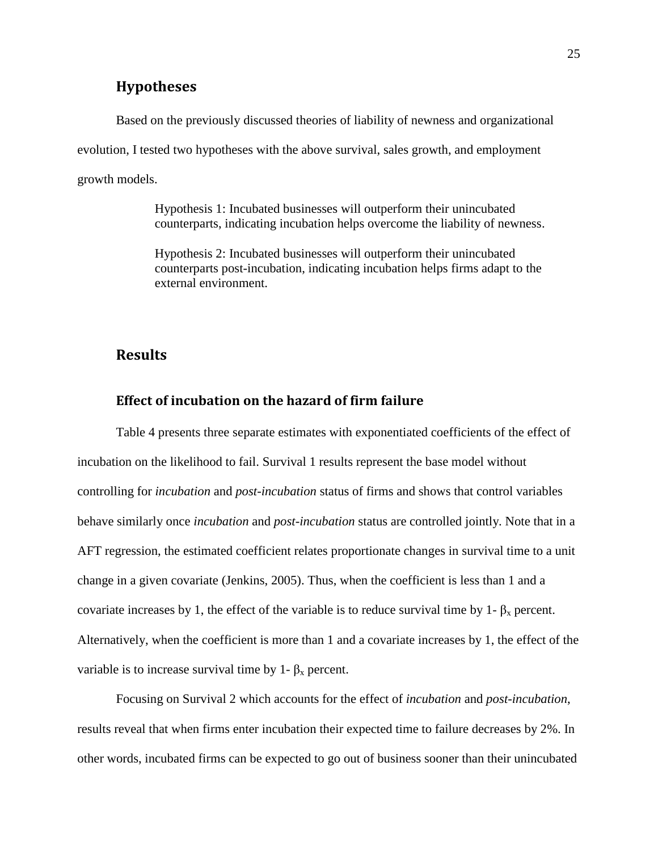## **Hypotheses**

Based on the previously discussed theories of liability of newness and organizational evolution, I tested two hypotheses with the above survival, sales growth, and employment growth models.

> Hypothesis 1: Incubated businesses will outperform their unincubated counterparts, indicating incubation helps overcome the liability of newness.

> Hypothesis 2: Incubated businesses will outperform their unincubated counterparts post-incubation, indicating incubation helps firms adapt to the external environment.

## **Results**

## **Effect of incubation on the hazard of firm failure**

Table 4 presents three separate estimates with exponentiated coefficients of the effect of incubation on the likelihood to fail. Survival 1 results represent the base model without controlling for *incubation* and *post-incubation* status of firms and shows that control variables behave similarly once *incubation* and *post-incubation* status are controlled jointly. Note that in a AFT regression, the estimated coefficient relates proportionate changes in survival time to a unit change in a given covariate (Jenkins, 2005). Thus, when the coefficient is less than 1 and a covariate increases by 1, the effect of the variable is to reduce survival time by 1-  $\beta_x$  percent. Alternatively, when the coefficient is more than 1 and a covariate increases by 1, the effect of the variable is to increase survival time by 1-  $\beta_x$  percent.

Focusing on Survival 2 which accounts for the effect of *incubation* and *post-incubation*, results reveal that when firms enter incubation their expected time to failure decreases by 2%. In other words, incubated firms can be expected to go out of business sooner than their unincubated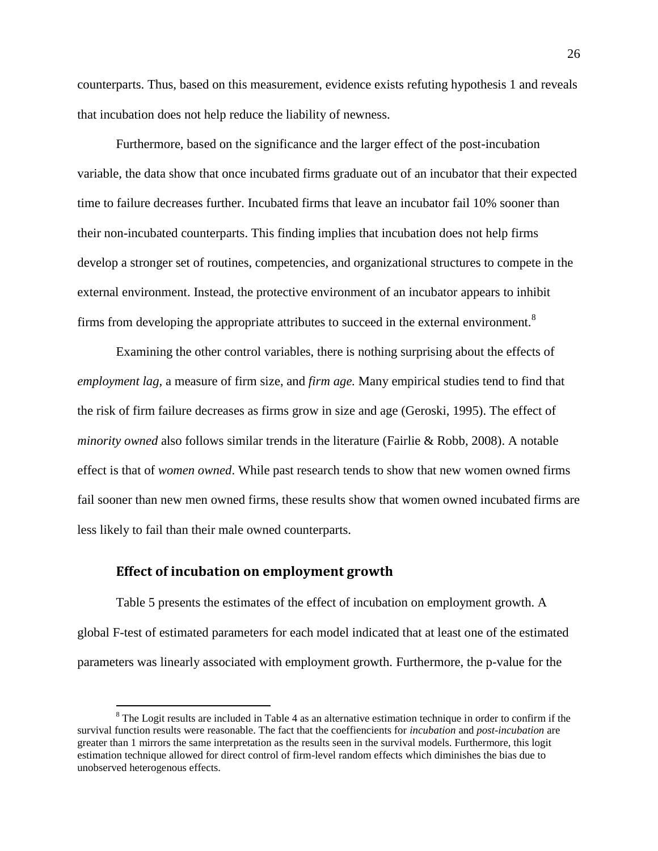counterparts. Thus, based on this measurement, evidence exists refuting hypothesis 1 and reveals that incubation does not help reduce the liability of newness.

Furthermore, based on the significance and the larger effect of the post-incubation variable, the data show that once incubated firms graduate out of an incubator that their expected time to failure decreases further. Incubated firms that leave an incubator fail 10% sooner than their non-incubated counterparts. This finding implies that incubation does not help firms develop a stronger set of routines, competencies, and organizational structures to compete in the external environment. Instead, the protective environment of an incubator appears to inhibit firms from developing the appropriate attributes to succeed in the external environment.<sup>8</sup>

Examining the other control variables, there is nothing surprising about the effects of *employment lag,* a measure of firm size, and *firm age.* Many empirical studies tend to find that the risk of firm failure decreases as firms grow in size and age (Geroski, 1995). The effect of *minority owned* also follows similar trends in the literature (Fairlie & Robb, 2008). A notable effect is that of *women owned*. While past research tends to show that new women owned firms fail sooner than new men owned firms, these results show that women owned incubated firms are less likely to fail than their male owned counterparts.

#### **Effect of incubation on employment growth**

 $\overline{a}$ 

Table 5 presents the estimates of the effect of incubation on employment growth. A global F-test of estimated parameters for each model indicated that at least one of the estimated parameters was linearly associated with employment growth. Furthermore, the p-value for the

<sup>&</sup>lt;sup>8</sup> The Logit results are included in Table 4 as an alternative estimation technique in order to confirm if the survival function results were reasonable. The fact that the coeffiencients for *incubation* and *post-incubation* are greater than 1 mirrors the same interpretation as the results seen in the survival models. Furthermore, this logit estimation technique allowed for direct control of firm-level random effects which diminishes the bias due to unobserved heterogenous effects.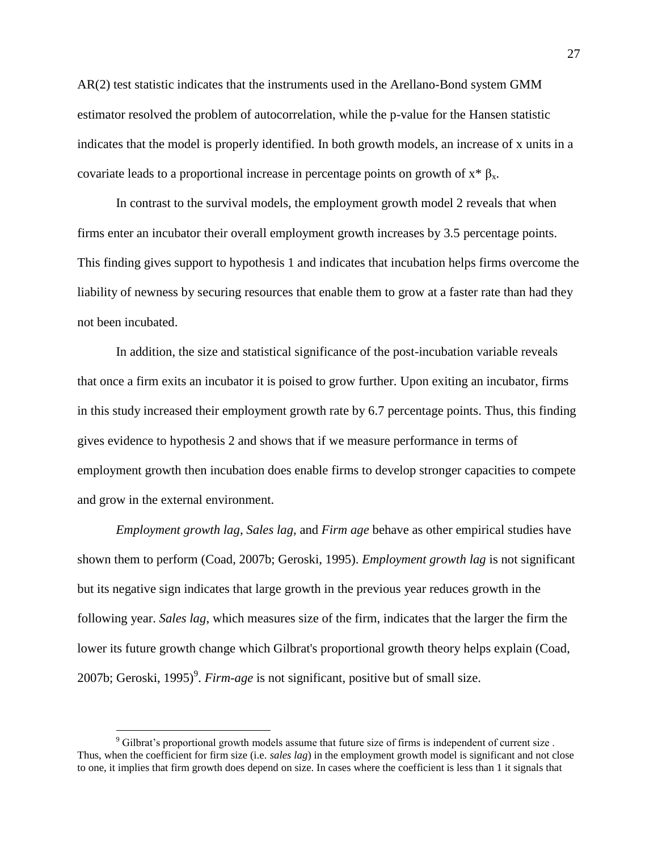AR(2) test statistic indicates that the instruments used in the Arellano-Bond system GMM estimator resolved the problem of autocorrelation, while the p-value for the Hansen statistic indicates that the model is properly identified. In both growth models, an increase of x units in a covariate leads to a proportional increase in percentage points on growth of  $x * \beta_x$ .

In contrast to the survival models, the employment growth model 2 reveals that when firms enter an incubator their overall employment growth increases by 3.5 percentage points. This finding gives support to hypothesis 1 and indicates that incubation helps firms overcome the liability of newness by securing resources that enable them to grow at a faster rate than had they not been incubated.

In addition, the size and statistical significance of the post-incubation variable reveals that once a firm exits an incubator it is poised to grow further. Upon exiting an incubator, firms in this study increased their employment growth rate by 6.7 percentage points. Thus, this finding gives evidence to hypothesis 2 and shows that if we measure performance in terms of employment growth then incubation does enable firms to develop stronger capacities to compete and grow in the external environment.

*Employment growth lag, Sales lag,* and *Firm age* behave as other empirical studies have shown them to perform (Coad, 2007b; Geroski, 1995). *Employment growth lag* is not significant but its negative sign indicates that large growth in the previous year reduces growth in the following year. *Sales lag*, which measures size of the firm, indicates that the larger the firm the lower its future growth change which Gilbrat's proportional growth theory helps explain (Coad, 2007b; Geroski, 1995)<sup>9</sup>. *Firm-age* is not significant, positive but of small size.

 $\overline{a}$ 

 $9$  Gilbrat's proportional growth models assume that future size of firms is independent of current size. Thus, when the coefficient for firm size (i.e. *sales lag*) in the employment growth model is significant and not close to one, it implies that firm growth does depend on size. In cases where the coefficient is less than 1 it signals that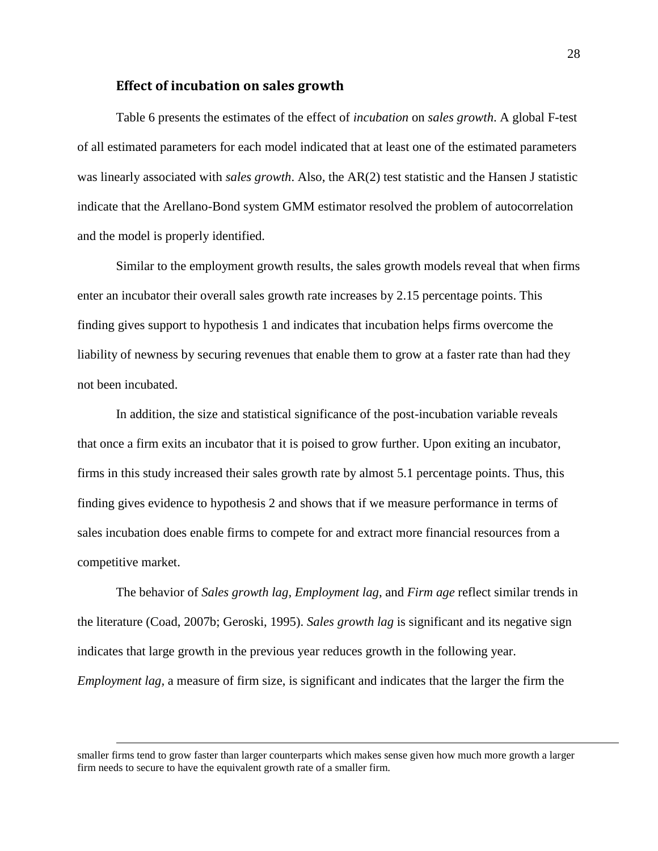#### **Effect of incubation on sales growth**

Table 6 presents the estimates of the effect of *incubation* on *sales growth*. A global F-test of all estimated parameters for each model indicated that at least one of the estimated parameters was linearly associated with *sales growth*. Also, the AR(2) test statistic and the Hansen J statistic indicate that the Arellano-Bond system GMM estimator resolved the problem of autocorrelation and the model is properly identified.

Similar to the employment growth results, the sales growth models reveal that when firms enter an incubator their overall sales growth rate increases by 2.15 percentage points. This finding gives support to hypothesis 1 and indicates that incubation helps firms overcome the liability of newness by securing revenues that enable them to grow at a faster rate than had they not been incubated.

In addition, the size and statistical significance of the post-incubation variable reveals that once a firm exits an incubator that it is poised to grow further. Upon exiting an incubator, firms in this study increased their sales growth rate by almost 5.1 percentage points. Thus, this finding gives evidence to hypothesis 2 and shows that if we measure performance in terms of sales incubation does enable firms to compete for and extract more financial resources from a competitive market.

The behavior of *Sales growth lag, Employment lag,* and *Firm age* reflect similar trends in the literature (Coad, 2007b; Geroski, 1995). *Sales growth lag* is significant and its negative sign indicates that large growth in the previous year reduces growth in the following year. *Employment lag,* a measure of firm size, is significant and indicates that the larger the firm the

smaller firms tend to grow faster than larger counterparts which makes sense given how much more growth a larger firm needs to secure to have the equivalent growth rate of a smaller firm.

 $\overline{a}$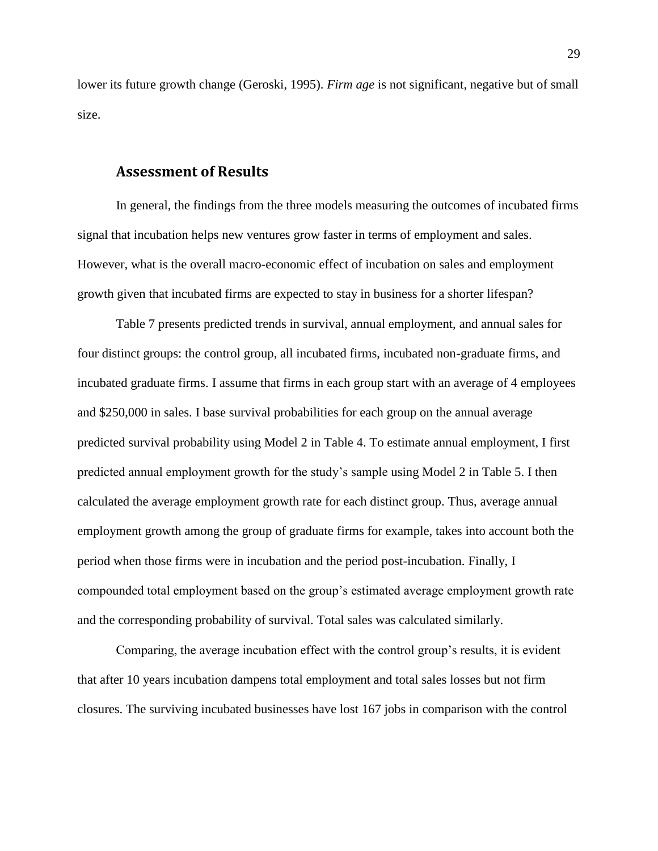lower its future growth change (Geroski, 1995). *Firm age* is not significant, negative but of small size.

## **Assessment of Results**

In general, the findings from the three models measuring the outcomes of incubated firms signal that incubation helps new ventures grow faster in terms of employment and sales. However, what is the overall macro-economic effect of incubation on sales and employment growth given that incubated firms are expected to stay in business for a shorter lifespan?

Table 7 presents predicted trends in survival, annual employment, and annual sales for four distinct groups: the control group, all incubated firms, incubated non-graduate firms, and incubated graduate firms. I assume that firms in each group start with an average of 4 employees and \$250,000 in sales. I base survival probabilities for each group on the annual average predicted survival probability using Model 2 in Table 4. To estimate annual employment, I first predicted annual employment growth for the study's sample using Model 2 in Table 5. I then calculated the average employment growth rate for each distinct group. Thus, average annual employment growth among the group of graduate firms for example, takes into account both the period when those firms were in incubation and the period post-incubation. Finally, I compounded total employment based on the group's estimated average employment growth rate and the corresponding probability of survival. Total sales was calculated similarly.

Comparing, the average incubation effect with the control group's results, it is evident that after 10 years incubation dampens total employment and total sales losses but not firm closures. The surviving incubated businesses have lost 167 jobs in comparison with the control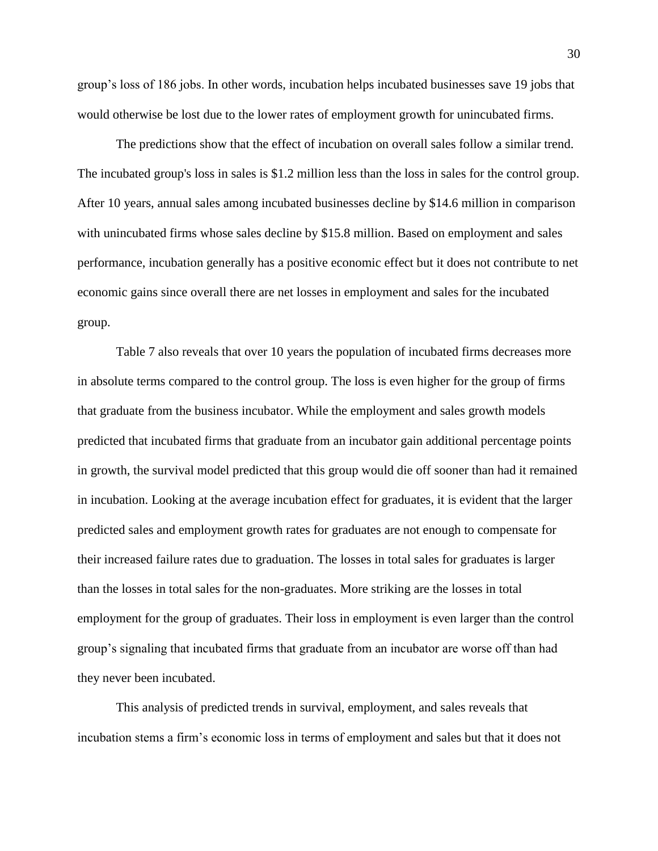group's loss of 186 jobs. In other words, incubation helps incubated businesses save 19 jobs that would otherwise be lost due to the lower rates of employment growth for unincubated firms.

The predictions show that the effect of incubation on overall sales follow a similar trend. The incubated group's loss in sales is \$1.2 million less than the loss in sales for the control group. After 10 years, annual sales among incubated businesses decline by \$14.6 million in comparison with unincubated firms whose sales decline by \$15.8 million. Based on employment and sales performance, incubation generally has a positive economic effect but it does not contribute to net economic gains since overall there are net losses in employment and sales for the incubated group.

Table 7 also reveals that over 10 years the population of incubated firms decreases more in absolute terms compared to the control group. The loss is even higher for the group of firms that graduate from the business incubator. While the employment and sales growth models predicted that incubated firms that graduate from an incubator gain additional percentage points in growth, the survival model predicted that this group would die off sooner than had it remained in incubation. Looking at the average incubation effect for graduates, it is evident that the larger predicted sales and employment growth rates for graduates are not enough to compensate for their increased failure rates due to graduation. The losses in total sales for graduates is larger than the losses in total sales for the non-graduates. More striking are the losses in total employment for the group of graduates. Their loss in employment is even larger than the control group's signaling that incubated firms that graduate from an incubator are worse off than had they never been incubated.

This analysis of predicted trends in survival, employment, and sales reveals that incubation stems a firm's economic loss in terms of employment and sales but that it does not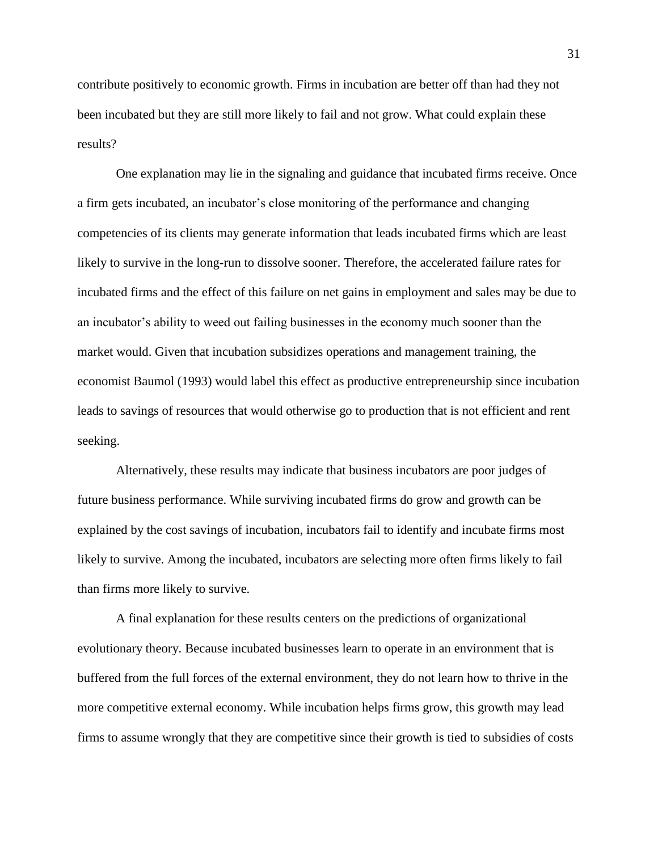contribute positively to economic growth. Firms in incubation are better off than had they not been incubated but they are still more likely to fail and not grow. What could explain these results?

One explanation may lie in the signaling and guidance that incubated firms receive. Once a firm gets incubated, an incubator's close monitoring of the performance and changing competencies of its clients may generate information that leads incubated firms which are least likely to survive in the long-run to dissolve sooner. Therefore, the accelerated failure rates for incubated firms and the effect of this failure on net gains in employment and sales may be due to an incubator's ability to weed out failing businesses in the economy much sooner than the market would. Given that incubation subsidizes operations and management training, the economist Baumol (1993) would label this effect as productive entrepreneurship since incubation leads to savings of resources that would otherwise go to production that is not efficient and rent seeking.

Alternatively, these results may indicate that business incubators are poor judges of future business performance. While surviving incubated firms do grow and growth can be explained by the cost savings of incubation, incubators fail to identify and incubate firms most likely to survive. Among the incubated, incubators are selecting more often firms likely to fail than firms more likely to survive.

A final explanation for these results centers on the predictions of organizational evolutionary theory. Because incubated businesses learn to operate in an environment that is buffered from the full forces of the external environment, they do not learn how to thrive in the more competitive external economy. While incubation helps firms grow, this growth may lead firms to assume wrongly that they are competitive since their growth is tied to subsidies of costs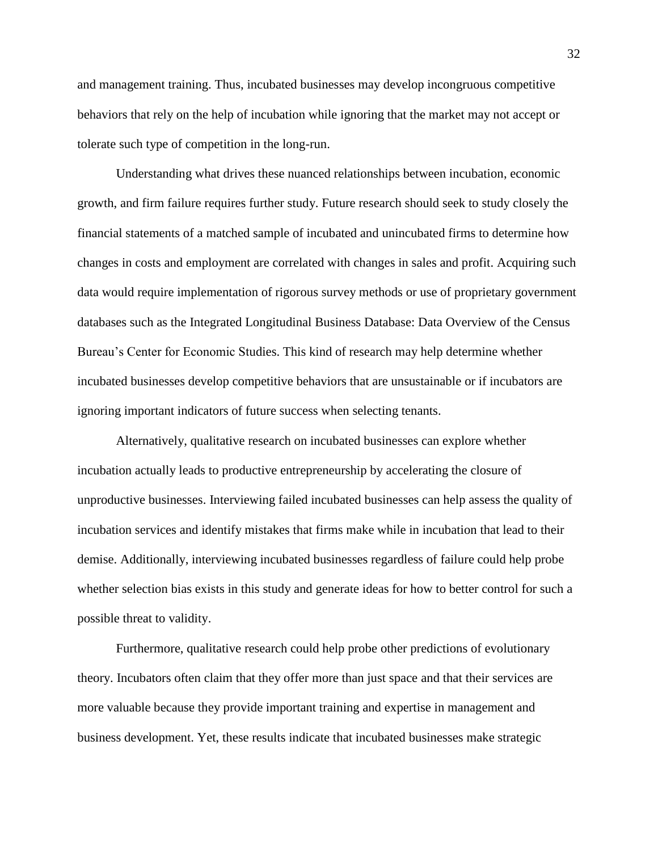and management training. Thus, incubated businesses may develop incongruous competitive behaviors that rely on the help of incubation while ignoring that the market may not accept or tolerate such type of competition in the long-run.

Understanding what drives these nuanced relationships between incubation, economic growth, and firm failure requires further study. Future research should seek to study closely the financial statements of a matched sample of incubated and unincubated firms to determine how changes in costs and employment are correlated with changes in sales and profit. Acquiring such data would require implementation of rigorous survey methods or use of proprietary government databases such as the Integrated Longitudinal Business Database: Data Overview of the Census Bureau's Center for Economic Studies. This kind of research may help determine whether incubated businesses develop competitive behaviors that are unsustainable or if incubators are ignoring important indicators of future success when selecting tenants.

Alternatively, qualitative research on incubated businesses can explore whether incubation actually leads to productive entrepreneurship by accelerating the closure of unproductive businesses. Interviewing failed incubated businesses can help assess the quality of incubation services and identify mistakes that firms make while in incubation that lead to their demise. Additionally, interviewing incubated businesses regardless of failure could help probe whether selection bias exists in this study and generate ideas for how to better control for such a possible threat to validity.

Furthermore, qualitative research could help probe other predictions of evolutionary theory. Incubators often claim that they offer more than just space and that their services are more valuable because they provide important training and expertise in management and business development. Yet, these results indicate that incubated businesses make strategic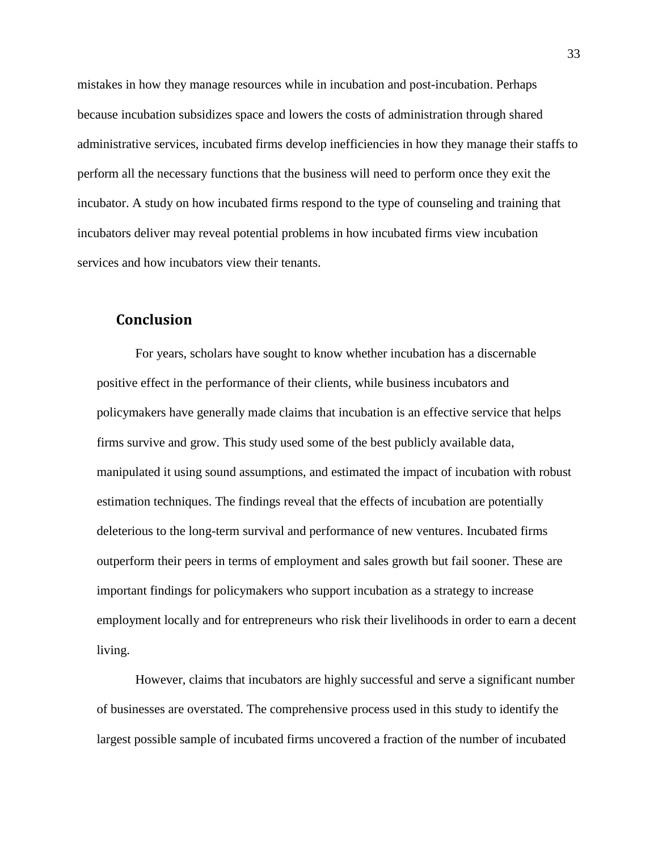mistakes in how they manage resources while in incubation and post-incubation. Perhaps because incubation subsidizes space and lowers the costs of administration through shared administrative services, incubated firms develop inefficiencies in how they manage their staffs to perform all the necessary functions that the business will need to perform once they exit the incubator. A study on how incubated firms respond to the type of counseling and training that incubators deliver may reveal potential problems in how incubated firms view incubation services and how incubators view their tenants.

## **Conclusion**

For years, scholars have sought to know whether incubation has a discernable positive effect in the performance of their clients, while business incubators and policymakers have generally made claims that incubation is an effective service that helps firms survive and grow. This study used some of the best publicly available data, manipulated it using sound assumptions, and estimated the impact of incubation with robust estimation techniques. The findings reveal that the effects of incubation are potentially deleterious to the long-term survival and performance of new ventures. Incubated firms outperform their peers in terms of employment and sales growth but fail sooner. These are important findings for policymakers who support incubation as a strategy to increase employment locally and for entrepreneurs who risk their livelihoods in order to earn a decent living.

However, claims that incubators are highly successful and serve a significant number of businesses are overstated. The comprehensive process used in this study to identify the largest possible sample of incubated firms uncovered a fraction of the number of incubated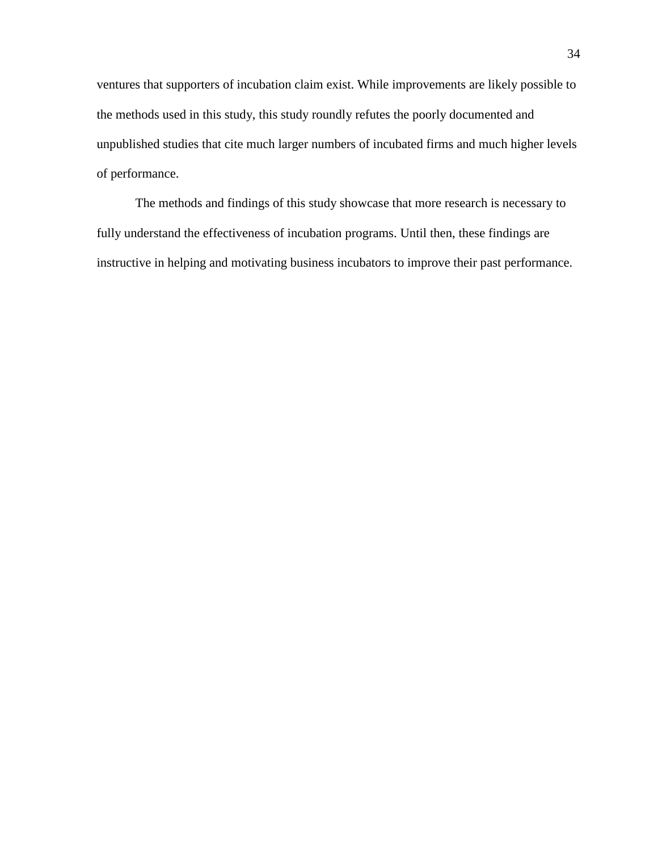ventures that supporters of incubation claim exist. While improvements are likely possible to the methods used in this study, this study roundly refutes the poorly documented and unpublished studies that cite much larger numbers of incubated firms and much higher levels of performance.

The methods and findings of this study showcase that more research is necessary to fully understand the effectiveness of incubation programs. Until then, these findings are instructive in helping and motivating business incubators to improve their past performance.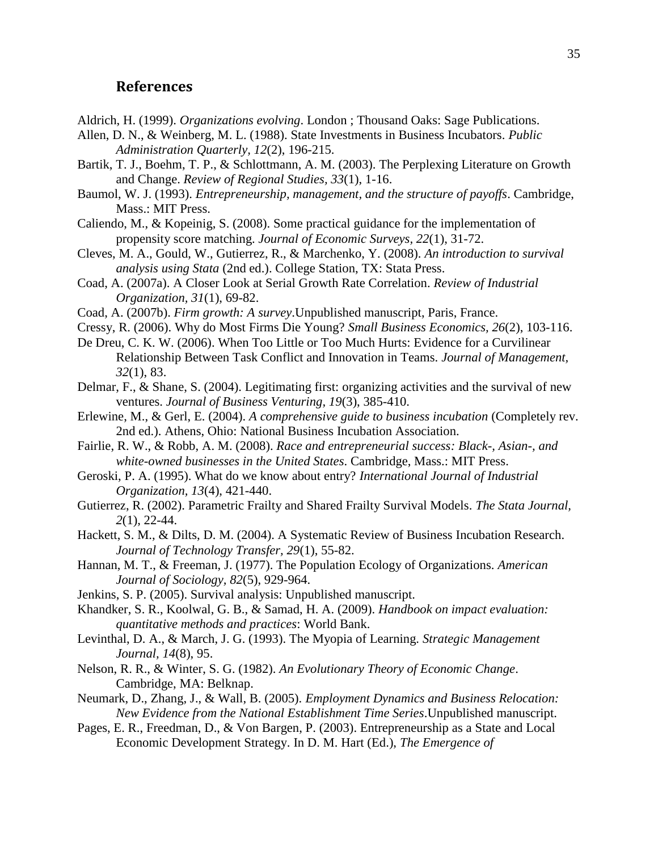## **References**

- Aldrich, H. (1999). *Organizations evolving*. London ; Thousand Oaks: Sage Publications.
- Allen, D. N., & Weinberg, M. L. (1988). State Investments in Business Incubators. *Public Administration Quarterly, 12*(2), 196-215.
- Bartik, T. J., Boehm, T. P., & Schlottmann, A. M. (2003). The Perplexing Literature on Growth and Change. *Review of Regional Studies, 33*(1), 1-16.
- Baumol, W. J. (1993). *Entrepreneurship, management, and the structure of payoffs*. Cambridge, Mass.: MIT Press.
- Caliendo, M., & Kopeinig, S. (2008). Some practical guidance for the implementation of propensity score matching. *Journal of Economic Surveys, 22*(1), 31-72.
- Cleves, M. A., Gould, W., Gutierrez, R., & Marchenko, Y. (2008). *An introduction to survival analysis using Stata* (2nd ed.). College Station, TX: Stata Press.
- Coad, A. (2007a). A Closer Look at Serial Growth Rate Correlation. *Review of Industrial Organization, 31*(1), 69-82.
- Coad, A. (2007b). *Firm growth: A survey*.Unpublished manuscript, Paris, France.
- Cressy, R. (2006). Why do Most Firms Die Young? *Small Business Economics, 26*(2), 103-116.
- De Dreu, C. K. W. (2006). When Too Little or Too Much Hurts: Evidence for a Curvilinear Relationship Between Task Conflict and Innovation in Teams. *Journal of Management, 32*(1), 83.
- Delmar, F., & Shane, S. (2004). Legitimating first: organizing activities and the survival of new ventures. *Journal of Business Venturing, 19*(3), 385-410.
- Erlewine, M., & Gerl, E. (2004). *A comprehensive guide to business incubation* (Completely rev. 2nd ed.). Athens, Ohio: National Business Incubation Association.
- Fairlie, R. W., & Robb, A. M. (2008). *Race and entrepreneurial success: Black-, Asian-, and white-owned businesses in the United States*. Cambridge, Mass.: MIT Press.
- Geroski, P. A. (1995). What do we know about entry? *International Journal of Industrial Organization, 13*(4), 421-440.
- Gutierrez, R. (2002). Parametric Frailty and Shared Frailty Survival Models. *The Stata Journal, 2*(1), 22-44.
- Hackett, S. M., & Dilts, D. M. (2004). A Systematic Review of Business Incubation Research. *Journal of Technology Transfer, 29*(1), 55-82.
- Hannan, M. T., & Freeman, J. (1977). The Population Ecology of Organizations. *American Journal of Sociology, 82*(5), 929-964.
- Jenkins, S. P. (2005). Survival analysis: Unpublished manuscript.
- Khandker, S. R., Koolwal, G. B., & Samad, H. A. (2009). *Handbook on impact evaluation: quantitative methods and practices*: World Bank.
- Levinthal, D. A., & March, J. G. (1993). The Myopia of Learning. *Strategic Management Journal, 14*(8), 95.
- Nelson, R. R., & Winter, S. G. (1982). *An Evolutionary Theory of Economic Change*. Cambridge, MA: Belknap.
- Neumark, D., Zhang, J., & Wall, B. (2005). *Employment Dynamics and Business Relocation: New Evidence from the National Establishment Time Series*.Unpublished manuscript.
- Pages, E. R., Freedman, D., & Von Bargen, P. (2003). Entrepreneurship as a State and Local Economic Development Strategy. In D. M. Hart (Ed.), *The Emergence of*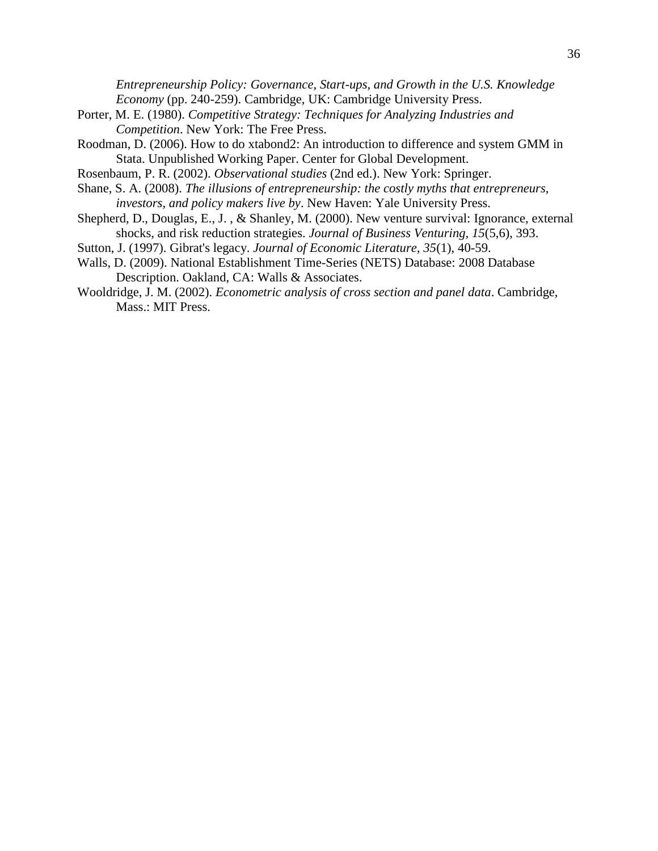*Entrepreneurship Policy: Governance, Start-ups, and Growth in the U.S. Knowledge Economy* (pp. 240-259). Cambridge, UK: Cambridge University Press.

- Porter, M. E. (1980). *Competitive Strategy: Techniques for Analyzing Industries and Competition*. New York: The Free Press.
- Roodman, D. (2006). How to do xtabond2: An introduction to difference and system GMM in Stata. Unpublished Working Paper. Center for Global Development.
- Rosenbaum, P. R. (2002). *Observational studies* (2nd ed.). New York: Springer.
- Shane, S. A. (2008). *The illusions of entrepreneurship: the costly myths that entrepreneurs, investors, and policy makers live by*. New Haven: Yale University Press.
- Shepherd, D., Douglas, E., J. , & Shanley, M. (2000). New venture survival: Ignorance, external shocks, and risk reduction strategies. *Journal of Business Venturing, 15*(5,6), 393.
- Sutton, J. (1997). Gibrat's legacy. *Journal of Economic Literature, 35*(1), 40-59.
- Walls, D. (2009). National Establishment Time-Series (NETS) Database: 2008 Database Description. Oakland, CA: Walls & Associates.
- Wooldridge, J. M. (2002). *Econometric analysis of cross section and panel data*. Cambridge, Mass.: MIT Press.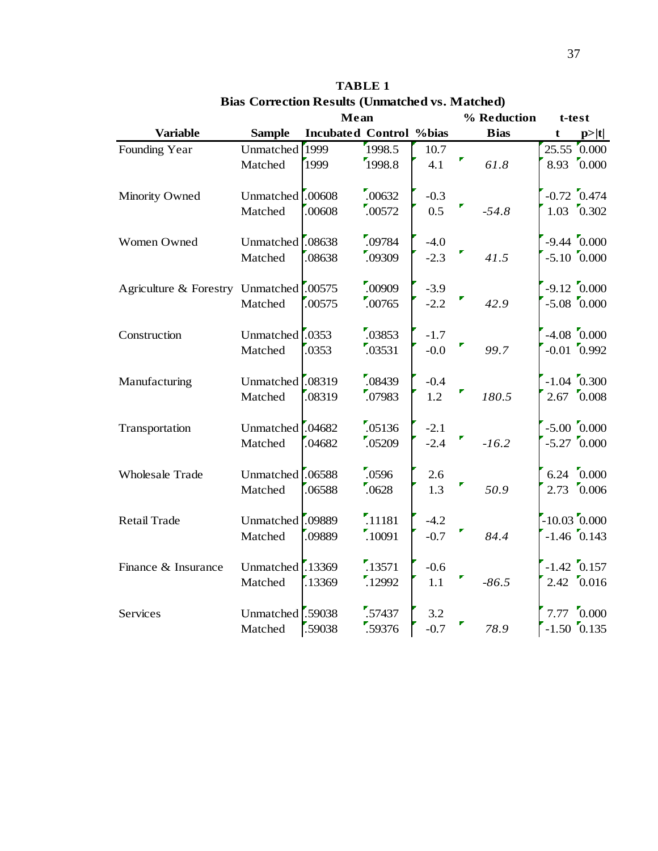|                                         |                                          | Mean                           |                             |                  | % Reduction |             | t-test |                                           |
|-----------------------------------------|------------------------------------------|--------------------------------|-----------------------------|------------------|-------------|-------------|--------|-------------------------------------------|
| <b>Variable</b>                         | <b>Sample</b>                            | <b>Incubated Control %bias</b> |                             |                  |             | <b>Bias</b> | t      | p> t                                      |
| Founding Year                           | Unmatched<br>Matched                     | 1999<br>1999                   | 1998.5<br>1998.8            | 10.7<br>4.1      |             | 61.8        |        | $25.55\text{ }0.000$<br>$8.93\quad 0.000$ |
| Minority Owned                          | Unmatched <sup>[00608</sup><br>Matched   | .00608                         | .00632<br>.00572            | $-0.3$<br>0.5    |             | $-54.8$     |        | $-0.72$ 0.474<br>$1.03 \quad 0.302$       |
| Women Owned                             | Unmatched <sup>[.08638</sup><br>Matched  | .08638                         | .09784<br>.09309            | $-4.0$<br>$-2.3$ |             | 41.5        |        | $-9.44\ 0.000$<br>$-5.10$ $0.000$         |
| Agriculture & Forestry Unmatched .00575 | Matched                                  | .00575                         | .00909<br>.00765            | $-3.9$<br>$-2.2$ |             | 42.9        |        | $-9.12 \ 0.000$<br>$-5.08$ $0.000$        |
| Construction                            | Unmatched <sup>[.0353</sup><br>Matched   | .0353                          | .03853<br>.03531            | $-1.7$<br>$-0.0$ |             | 99.7        |        | $-4.08$ $0.000$<br>$-0.01$ 0.992          |
| Manufacturing                           | Unmatched .08319<br>Matched              | .08319                         | .08439<br>.07983            | $-0.4$<br>1.2    |             | 180.5       |        | $-1.04$ $0.300$<br>$2.67\;\;0.008$        |
| Transportation                          | Unmatched <sup>1</sup> .04682<br>Matched | .04682                         | .05136<br>.05209            | $-2.1$<br>$-2.4$ |             | $-16.2$     |        | $-5.00$ $0.000$<br>$-5.27$ $0.000$        |
| Wholesale Trade                         | Unmatched .06588<br>Matched              | .06588                         | .0596<br>.0628              | 2.6<br>1.3       |             | 50.9        |        | $6.24\quad 0.000$<br>$2.73\quad 0.006$    |
| <b>Retail Trade</b>                     | Unmatched <sup>[09889</sup> ]<br>Matched | .09889                         | $\frac{1}{11181}$<br>.10091 | $-4.2$<br>$-0.7$ |             | 84.4        |        | $-10.03\ 0.000$<br>$-1.46$ 0.143          |
| Finance & Insurance                     | Unmatched .13369<br>Matched              | .13369                         | .13571<br>.12992            | $-0.6$<br>1.1    |             | $-86.5$     |        | $-1.42$ 0.157<br>$2.42 \quad 0.016$       |
| Services                                | Unmatched <sup>1.59038</sup><br>Matched  | .59038                         | .57437<br>.59376            | 3.2<br>$-0.7$    |             | 78.9        |        | $7.77\quad 0.000$<br>$-1.50$ 0.135        |

# **TABLE 1 Bias Correction Results (Unmatched vs. Matched)**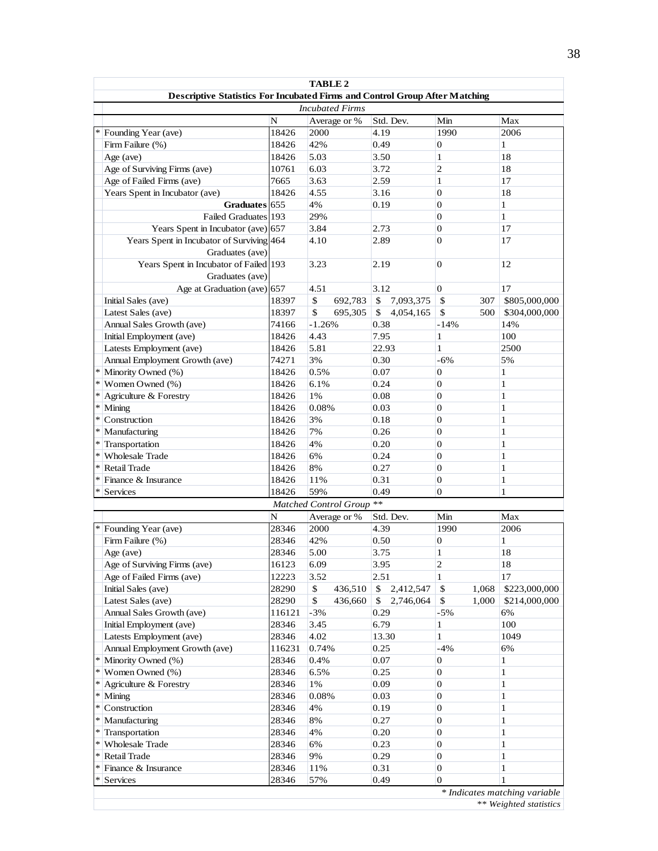|            | <b>TABLE 2</b>                                                                     |        |                          |                 |                       |               |  |  |
|------------|------------------------------------------------------------------------------------|--------|--------------------------|-----------------|-----------------------|---------------|--|--|
|            | <b>Descriptive Statistics For Incubated Firms and Control Group After Matching</b> |        |                          |                 |                       |               |  |  |
|            | <b>Incubated Firms</b>                                                             |        |                          |                 |                       |               |  |  |
|            |                                                                                    | N      | Average or %             | Std. Dev.       | Min                   | Max           |  |  |
| *          | Founding Year (ave)                                                                | 18426  | 2000                     | 4.19            | 1990                  | 2006          |  |  |
|            | Firm Failure (%)                                                                   | 18426  | 42%                      | 0.49            | $\boldsymbol{0}$      | $\mathbf{1}$  |  |  |
|            | Age (ave)                                                                          | 18426  | 5.03                     | 3.50            | $\mathbf{1}$          | 18            |  |  |
|            | Age of Surviving Firms (ave)                                                       | 10761  | 6.03                     | 3.72            | $\overline{2}$        | 18            |  |  |
|            | Age of Failed Firms (ave)                                                          | 7665   | 3.63                     | 2.59            | $\mathbf{1}$          | 17            |  |  |
|            | Years Spent in Incubator (ave)                                                     | 18426  | 4.55                     | 3.16            | $\overline{0}$        | 18            |  |  |
|            | Graduates 655                                                                      |        | 4%                       | 0.19            | $\mathbf{0}$          | $\mathbf{1}$  |  |  |
|            | Failed Graduates 193                                                               |        | 29%                      |                 | $\overline{0}$        | $\mathbf{1}$  |  |  |
|            | Years Spent in Incubator (ave) $ 657$                                              |        | 3.84                     | 2.73            | $\mathbf{0}$          | 17            |  |  |
|            | Years Spent in Incubator of Surviving 464<br>Graduates (ave)                       |        | 4.10                     | 2.89            | $\mathbf{0}$          | 17            |  |  |
|            | Years Spent in Incubator of Failed 193<br>Graduates (ave)                          |        | 3.23                     | 2.19            | $\mathbf{0}$          | 12            |  |  |
|            | Age at Graduation (ave) 657                                                        |        | 4.51                     | 3.12            | $\mathbf{0}$          | 17            |  |  |
|            | Initial Sales (ave)                                                                | 18397  | $\mathbb{S}$<br>692,783  | \$<br>7,093,375 | $\mathbb{S}$<br>307   | \$805,000,000 |  |  |
|            | Latest Sales (ave)                                                                 | 18397  | \$<br>695,305            | \$<br>4,054,165 | \$<br>500             | \$304,000,000 |  |  |
|            | Annual Sales Growth (ave)                                                          | 74166  | $-1.26%$                 | 0.38            | $-14%$                | 14%           |  |  |
|            | Initial Employment (ave)                                                           | 18426  | 4.43                     | 7.95            | $\mathbf{1}$          | 100           |  |  |
|            | Latests Employment (ave)                                                           | 18426  | 5.81                     | 22.93           | $\mathbf{1}$          | 2500          |  |  |
|            | Annual Employment Growth (ave)                                                     | 74271  | 3%                       | 0.30            | $-6%$                 | 5%            |  |  |
|            | * Minority Owned (%)                                                               | 18426  | 0.5%                     | 0.07            | $\overline{0}$        | 1             |  |  |
| ∗          | Women Owned (%)                                                                    | 18426  | 6.1%                     | 0.24            | $\mathbf{0}$          | $\mathbf{1}$  |  |  |
| $\ast$     | Agriculture & Forestry                                                             | 18426  | 1%                       | 0.08            | $\mathbf{0}$          | 1             |  |  |
| $\ast$     | Mining                                                                             | 18426  | 0.08%                    | 0.03            | $\mathbf{0}$          | 1             |  |  |
| $\ast$     | Construction                                                                       | 18426  | 3%                       | 0.18            | $\mathbf{0}$          | 1             |  |  |
| $\ast$     | Manufacturing                                                                      | 18426  | 7%                       | 0.26            | $\mathbf{0}$          | 1             |  |  |
|            | * Transportation                                                                   | 18426  | 4%                       | 0.20            | $\overline{0}$        | 1             |  |  |
| $\ddot{*}$ | <b>Wholesale Trade</b>                                                             | 18426  | 6%                       | 0.24            | $\overline{0}$        | 1             |  |  |
| $\ast$     | <b>Retail Trade</b>                                                                | 18426  | 8%                       | 0.27            | $\overline{0}$        | $\mathbf{1}$  |  |  |
| $\ast$     | Finance & Insurance                                                                | 18426  | 11%                      | 0.31            | $\mathbf{0}$          | $\mathbf{1}$  |  |  |
| $\ast$     | Services                                                                           | 18426  | 59%                      | 0.49            | $\mathbf{0}$          | 1             |  |  |
|            |                                                                                    |        | Matched Control Group ** |                 |                       |               |  |  |
|            |                                                                                    | N      | Average or %             | Std. Dev.       | Min                   | Max           |  |  |
|            | Founding Year (ave)                                                                | 28346  | 2000                     | 4.39            | 1990                  | 2006          |  |  |
|            | Firm Failure (%)                                                                   | 28346  | 42%                      | 0.50            | $\boldsymbol{0}$      | 1             |  |  |
|            | Age (ave)                                                                          | 28346  | 5.00                     | 3.75            | $\mathbf{1}$          | 18            |  |  |
|            | Age of Surviving Firms (ave)                                                       | 16123  | 6.09                     | 3.95            | 2                     | 18            |  |  |
|            | Age of Failed Firms (ave)                                                          | 12223  | 3.52                     | 2.51            | $\mathbf{1}$          | 17            |  |  |
|            | Initial Sales (ave)                                                                | 28290  | \$<br>436,510            | \$<br>2,412,547 | \$<br>1,068           | \$223,000,000 |  |  |
|            | Latest Sales (ave)                                                                 | 28290  | \$<br>436,660            | \$<br>2,746,064 | $\mathbb{S}$<br>1,000 | \$214,000,000 |  |  |
|            | Annual Sales Growth (ave)                                                          | 116121 | $-3%$                    | 0.29            | $-5%$                 | 6%            |  |  |
|            | Initial Employment (ave)                                                           | 28346  | 3.45                     | 6.79            | 1                     | 100           |  |  |
|            | Latests Employment (ave)                                                           | 28346  | 4.02                     | 13.30           | $\mathbf{1}$          | 1049          |  |  |
|            | Annual Employment Growth (ave)                                                     | 116231 | 0.74%                    | 0.25            | $-4%$                 | 6%            |  |  |
| $\ast$     | Minority Owned (%)                                                                 | 28346  | 0.4%                     | 0.07            | 0                     | 1             |  |  |
|            | $*$ Women Owned $(\% )$                                                            | 28346  | 6.5%                     | 0.25            | 0                     | 1             |  |  |
|            | * Agriculture & Forestry                                                           | 28346  | $1\%$                    | 0.09            | $\boldsymbol{0}$      | 1             |  |  |
|            | $*$ Mining                                                                         | 28346  | 0.08%                    | 0.03            | $\mathbf{0}$          | 1             |  |  |
|            | * Construction                                                                     | 28346  | 4%                       | 0.19            | $\boldsymbol{0}$      | 1             |  |  |
| $\ast$     | Manufacturing                                                                      | 28346  | 8%                       | 0.27            | $\overline{0}$        | 1             |  |  |
| $\ast$     | Transportation                                                                     | 28346  | 4%                       | 0.20            | 0                     | 1             |  |  |
|            | * Wholesale Trade                                                                  | 28346  | 6%                       | 0.23            | 0                     | 1             |  |  |
|            | * Retail Trade                                                                     | 28346  | 9%                       | 0.29            | 0                     | 1             |  |  |
| ∗          | Finance & Insurance                                                                | 28346  | 11%                      | 0.31            | $\boldsymbol{0}$      | 1             |  |  |
| ∗          | Services                                                                           | 28346  | 57%                      | 0.49            | $\boldsymbol{0}$      |               |  |  |
|            | * Indicates matching variable                                                      |        |                          |                 |                       |               |  |  |

*\*\* Weighted statistics*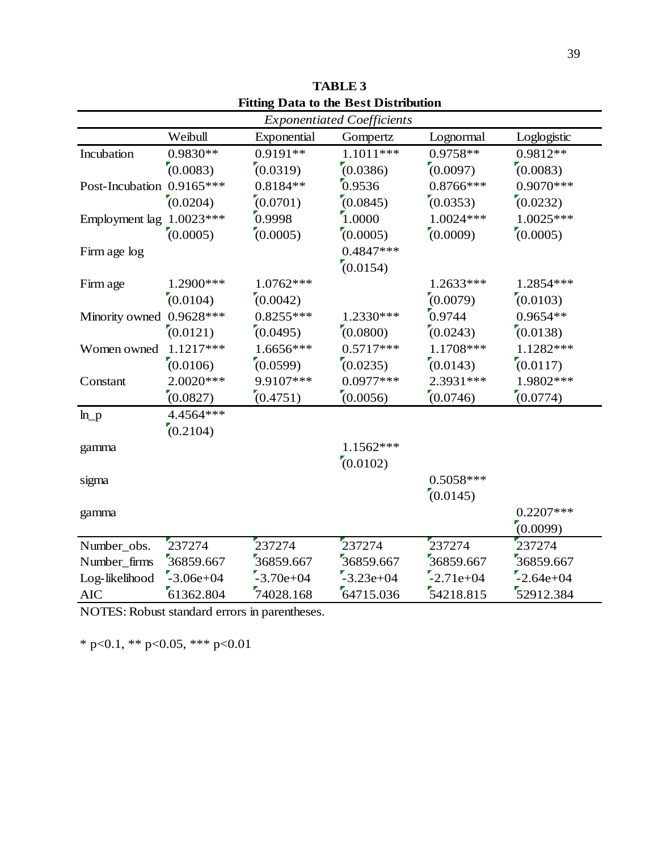|                           |             |             | <b>Exponentiated Coefficients</b> |             |             |
|---------------------------|-------------|-------------|-----------------------------------|-------------|-------------|
|                           | Weibull     | Exponential | Gompertz                          | Lognormal   | Loglogistic |
| Incubation                | $0.9830**$  | $0.9191**$  | 1.1011 ***                        | 0.9758**    | $0.9812**$  |
|                           | (0.0083)    | (0.0319)    | (0.0386)                          | (0.0097)    | (0.0083)    |
| Post-Incubation 0.9165*** |             | $0.8184**$  | 0.9536                            | $0.8766***$ | $0.9070***$ |
|                           | (0.0204)    | (0.0701)    | (0.0845)                          | (0.0353)    | (0.0232)    |
| Employment lag 1.0023***  |             | 0.9998      | 1.0000                            | $1.0024***$ | $1.0025***$ |
|                           | (0.0005)    | (0.0005)    | (0.0005)                          | (0.0009)    | (0.0005)    |
| Firm age log              |             |             | $0.4847***$                       |             |             |
|                           |             |             | (0.0154)                          |             |             |
| Firm age                  | 1.2900***   | 1.0762***   |                                   | 1.2633***   | 1.2854 ***  |
|                           | (0.0104)    | (0.0042)    |                                   | (0.0079)    | (0.0103)    |
| Minority owned 0.9628 *** |             | $0.8255***$ | 1.2330***                         | 0.9744      | $0.9654**$  |
|                           | (0.0121)    | (0.0495)    | (0.0800)                          | (0.0243)    | (0.0138)    |
| Women owned               | $1.1217***$ | 1.6656***   | $0.5717***$                       | 1.1708***   | 1.1282***   |
|                           | (0.0106)    | (0.0599)    | (0.0235)                          | (0.0143)    | (0.0117)    |
| Constant                  | $2.0020***$ | 9.9107***   | $0.0977***$                       | 2.3931***   | 1.9802***   |
|                           | (0.0827)    | (0.4751)    | (0.0056)                          | (0.0746)    | (0.0774)    |
| $ln_p$                    | 4.4564 ***  |             |                                   |             |             |
|                           | (0.2104)    |             |                                   |             |             |
| gamma                     |             |             | $1.1562***$                       |             |             |
|                           |             |             | (0.0102)                          |             |             |
| sigma                     |             |             |                                   | $0.5058***$ |             |
|                           |             |             |                                   | (0.0145)    |             |
| gamma                     |             |             |                                   |             | $0.2207***$ |
|                           |             |             |                                   |             | (0.0099)    |
| Number_obs.               | 237274      | 237274      | 237274                            | 237274      | 237274      |
| Number_firms              | 36859.667   | 36859.667   | 36859.667                         | 36859.667   | 36859.667   |
| Log-likelihood            | $-3.06e+04$ | $-3.70e+04$ | $-3.23e+04$                       | $-2.71e+04$ | $-2.64e+04$ |
| <b>AIC</b>                | 61362.804   | 74028.168   | 64715.036                         | 54218.815   | 52912.384   |

**Fitting Data to the Best Distribution TABLE 3**

NOTES: Robust standard errors in parentheses.

\* p<0.1, \*\* p<0.05, \*\*\* p<0.01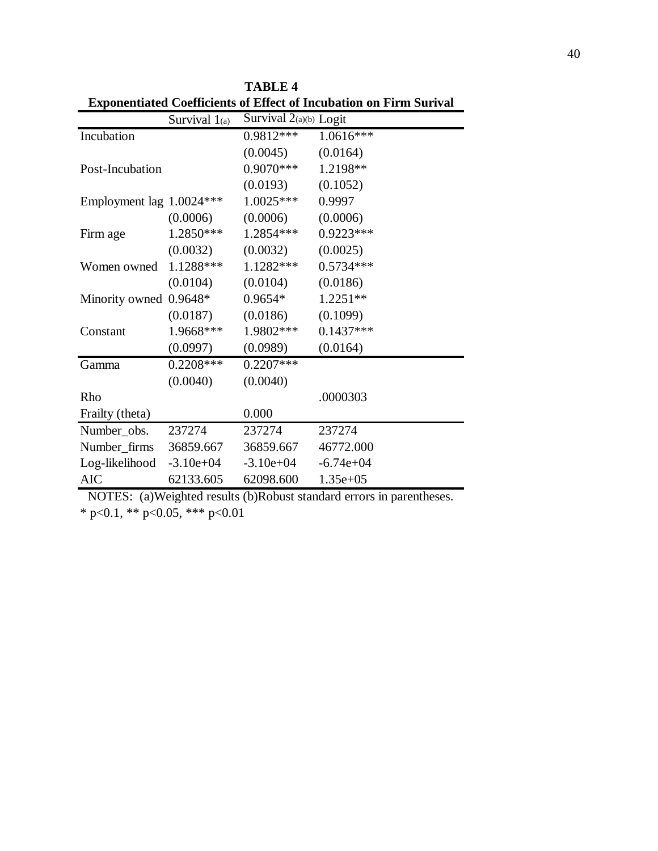|                            | Survival $1_{(a)}$ | Survival $2(a)(b)$ Logit |             |
|----------------------------|--------------------|--------------------------|-------------|
| Incubation                 |                    | $0.9812***$              | $1.0616***$ |
|                            |                    | (0.0045)                 | (0.0164)    |
| Post-Incubation            |                    | $0.9070***$              | 1.2198**    |
|                            |                    | (0.0193)                 | (0.1052)    |
| Employment lag 1.0024***   |                    | $1.0025***$              | 0.9997      |
|                            | (0.0006)           | (0.0006)                 | (0.0006)    |
| Firm age                   | $1.2850***$        | $1.2854***$              | 0.9223***   |
|                            | (0.0032)           | (0.0032)                 | (0.0025)    |
| Women owned                | $1.1288***$        | $1.1282***$              | $0.5734***$ |
|                            | (0.0104)           | (0.0104)                 | (0.0186)    |
| Minority owned 0.9648*     |                    | $0.9654*$                | $1.2251**$  |
|                            | (0.0187)           | (0.0186)                 | (0.1099)    |
| Constant                   | 1.9668***          | $1.9802***$              | $0.1437***$ |
|                            | (0.0997)           | (0.0989)                 | (0.0164)    |
| Gamma                      | $0.2208***$        | $0.2207***$              |             |
|                            | (0.0040)           | (0.0040)                 |             |
| Rho                        |                    |                          | .0000303    |
| Frailty (theta)            |                    | 0.000                    |             |
| Number_obs.                | 237274             | 237274                   | 237274      |
| Number_firms 36859.667     |                    | 36859.667                | 46772.000   |
| $Log-likelihood -3.10e+04$ |                    | $-3.10e + 04$            | $-6.74e+04$ |
| <b>AIC</b>                 | 62133.605          | 62098.600                | $1.35e+05$  |

**TABLE 4 Exponentiated Coefficients of Effect of Incubation on Firm Surival**

\* p<0.1, \*\* p<0.05, \*\*\* p<0.01 NOTES: (a)Weighted results (b)Robust standard errors in parentheses.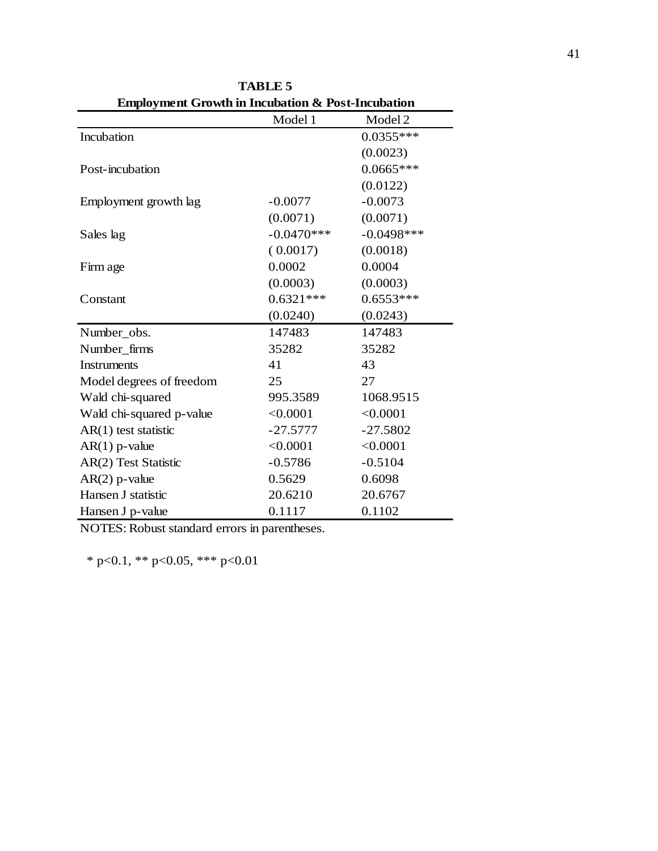| Employment Growth in Incubation & Post-Incubation |              |               |
|---------------------------------------------------|--------------|---------------|
|                                                   | Model 1      | Model 2       |
| Incubation                                        |              | $0.0355***$   |
|                                                   |              | (0.0023)      |
| Post-incubation                                   |              | $0.0665***$   |
|                                                   |              | (0.0122)      |
| Employment growth lag                             | $-0.0077$    | $-0.0073$     |
|                                                   | (0.0071)     | (0.0071)      |
| Sales lag                                         | $-0.0470***$ | $-0.0498$ *** |
|                                                   | (0.0017)     | (0.0018)      |
| Firm age                                          | 0.0002       | 0.0004        |
|                                                   | (0.0003)     | (0.0003)      |
| Constant                                          | $0.6321***$  | $0.6553***$   |
|                                                   | (0.0240)     | (0.0243)      |
| Number_obs.                                       | 147483       | 147483        |
| Number_firms                                      | 35282        | 35282         |
| <b>Instruments</b>                                | 41           | 43            |
| Model degrees of freedom                          | 25           | 27            |
| Wald chi-squared                                  | 995.3589     | 1068.9515     |
| Wald chi-squared p-value                          | < 0.0001     | < 0.0001      |
| $AR(1)$ test statistic                            | $-27.5777$   | $-27.5802$    |
| $AR(1)$ p-value                                   | < 0.0001     | < 0.0001      |
| AR(2) Test Statistic                              | $-0.5786$    | $-0.5104$     |
| $AR(2)$ p-value                                   | 0.5629       | 0.6098        |
| Hansen J statistic                                | 20.6210      | 20.6767       |
| Hansen J p-value                                  | 0.1117       | 0.1102        |

**TABLE 5 Employment Growth in Incubation & Post-Incubation**

NOTES: Robust standard errors in parentheses.

\* p<0.1, \*\* p<0.05, \*\*\* p<0.01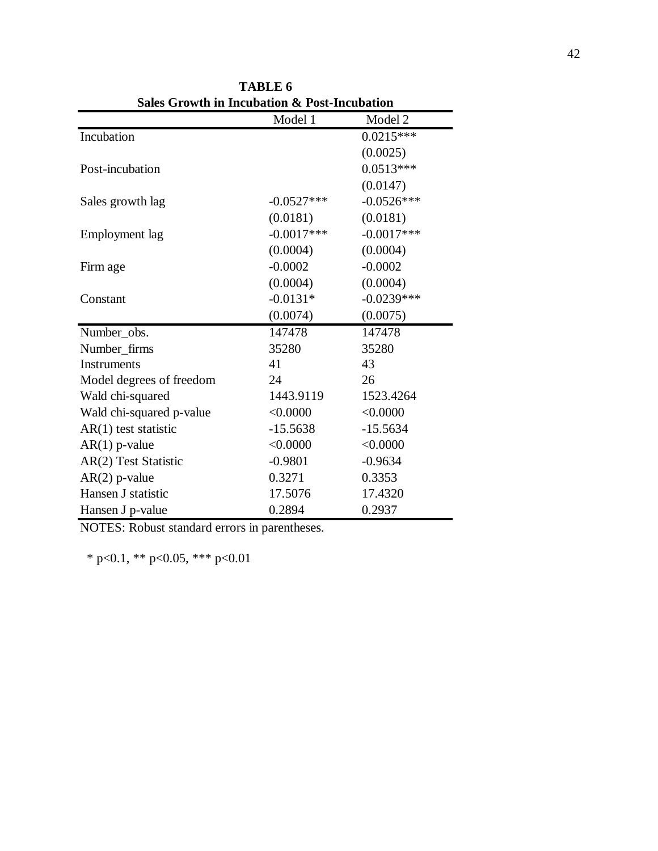| Sales Growth in Incubation & Post-Incubation |              |              |  |  |  |  |  |
|----------------------------------------------|--------------|--------------|--|--|--|--|--|
|                                              | Model 1      | Model 2      |  |  |  |  |  |
| Incubation                                   |              | $0.0215***$  |  |  |  |  |  |
|                                              |              | (0.0025)     |  |  |  |  |  |
| Post-incubation                              |              | $0.0513***$  |  |  |  |  |  |
|                                              |              | (0.0147)     |  |  |  |  |  |
| Sales growth lag                             | $-0.0527***$ | $-0.0526***$ |  |  |  |  |  |
|                                              | (0.0181)     | (0.0181)     |  |  |  |  |  |
| Employment lag                               | $-0.0017***$ | $-0.0017***$ |  |  |  |  |  |
|                                              | (0.0004)     | (0.0004)     |  |  |  |  |  |
| Firm age                                     | $-0.0002$    | $-0.0002$    |  |  |  |  |  |
|                                              | (0.0004)     | (0.0004)     |  |  |  |  |  |
| Constant                                     | $-0.0131*$   | $-0.0239***$ |  |  |  |  |  |
|                                              | (0.0074)     | (0.0075)     |  |  |  |  |  |
| Number_obs.                                  | 147478       | 147478       |  |  |  |  |  |
| Number_firms                                 | 35280        | 35280        |  |  |  |  |  |
| <b>Instruments</b>                           | 41           | 43           |  |  |  |  |  |
| Model degrees of freedom                     | 24           | 26           |  |  |  |  |  |
| Wald chi-squared                             | 1443.9119    | 1523.4264    |  |  |  |  |  |
| Wald chi-squared p-value                     | < 0.0000     | < 0.0000     |  |  |  |  |  |
| $AR(1)$ test statistic                       | $-15.5638$   | $-15.5634$   |  |  |  |  |  |
| $AR(1)$ p-value                              | < 0.0000     | < 0.0000     |  |  |  |  |  |
| AR(2) Test Statistic                         | $-0.9801$    | $-0.9634$    |  |  |  |  |  |
| $AR(2)$ p-value                              | 0.3271       | 0.3353       |  |  |  |  |  |
| Hansen J statistic                           | 17.5076      | 17.4320      |  |  |  |  |  |
| Hansen J p-value                             | 0.2894       | 0.2937       |  |  |  |  |  |

**TABLE 6 Sales Growth in Incubation & Post-Incubation**

NOTES: Robust standard errors in parentheses.

\* p<0.1, \*\* p<0.05, \*\*\* p<0.01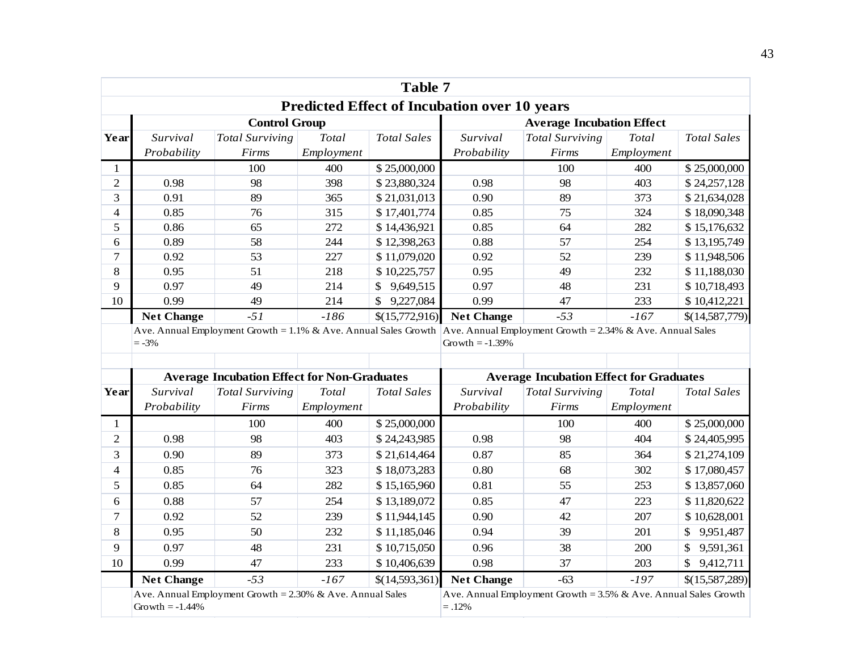| Table 7                                                                                                                   |                   |                                                    |            |                    |                                  |                                                                    |            |                    |
|---------------------------------------------------------------------------------------------------------------------------|-------------------|----------------------------------------------------|------------|--------------------|----------------------------------|--------------------------------------------------------------------|------------|--------------------|
| <b>Predicted Effect of Incubation over 10 years</b>                                                                       |                   |                                                    |            |                    |                                  |                                                                    |            |                    |
|                                                                                                                           |                   | <b>Control Group</b>                               |            |                    | <b>Average Incubation Effect</b> |                                                                    |            |                    |
| Year                                                                                                                      | Survival          | <b>Total Surviving</b>                             | Total      | <b>Total Sales</b> | Survival                         | <b>Total Surviving</b>                                             | Total      | <b>Total Sales</b> |
|                                                                                                                           | Probability       | Firms                                              | Employment |                    | Probability                      | Firms                                                              | Employment |                    |
| $\mathbf{1}$                                                                                                              |                   | 100                                                | 400        | \$25,000,000       |                                  | 100                                                                | 400        | \$25,000,000       |
| $\overline{c}$                                                                                                            | 0.98              | 98                                                 | 398        | \$23,880,324       | 0.98                             | 98                                                                 | 403        | \$24,257,128       |
| 3                                                                                                                         | 0.91              | 89                                                 | 365        | \$21,031,013       | 0.90                             | 89                                                                 | 373        | \$21,634,028       |
| $\overline{\mathcal{L}}$                                                                                                  | 0.85              | 76                                                 | 315        | \$17,401,774       | 0.85                             | 75                                                                 | 324        | \$18,090,348       |
| 5                                                                                                                         | 0.86              | 65                                                 | 272        | \$14,436,921       | 0.85                             | 64                                                                 | 282        | \$15,176,632       |
| 6                                                                                                                         | 0.89              | 58                                                 | 244        | \$12,398,263       | 0.88                             | 57                                                                 | 254        | \$13,195,749       |
| 7                                                                                                                         | 0.92              | 53                                                 | 227        | \$11,079,020       | 0.92                             | 52                                                                 | 239        | \$11,948,506       |
| 8                                                                                                                         | 0.95              | 51                                                 | 218        | \$10,225,757       | 0.95                             | 49                                                                 | 232        | \$11,188,030       |
| 9                                                                                                                         | 0.97              | 49                                                 | 214        | \$<br>9,649,515    | 0.97                             | 48                                                                 | 231        | \$10,718,493       |
| 10                                                                                                                        | 0.99              | 49                                                 | 214        | \$<br>9,227,084    | 0.99                             | 47                                                                 | 233        | \$10,412,221       |
|                                                                                                                           | <b>Net Change</b> | $-51$                                              | $-186$     | \$(15,772,916)     | <b>Net Change</b>                | $-53$                                                              | $-167$     | \$(14,587,779)     |
| Ave. Annual Employment Growth = 1.1% & Ave. Annual Sales Growth Ave. Annual Employment Growth = 2.34% & Ave. Annual Sales |                   |                                                    |            |                    |                                  |                                                                    |            |                    |
|                                                                                                                           | $=-3%$            |                                                    |            |                    | Growth $= -1.39\%$               |                                                                    |            |                    |
|                                                                                                                           |                   |                                                    |            |                    |                                  |                                                                    |            |                    |
|                                                                                                                           |                   | <b>Average Incubation Effect for Non-Graduates</b> |            |                    |                                  | <b>Average Incubation Effect for Graduates</b>                     |            |                    |
| Year                                                                                                                      | Survival          | <b>Total Surviving</b>                             | Total      | <b>Total Sales</b> | Survival                         | <b>Total Surviving</b>                                             | Total      | <b>Total Sales</b> |
|                                                                                                                           | Probability       | Firms                                              | Employment |                    | Probability                      | Firms                                                              | Employment |                    |
| $\mathbf{1}$                                                                                                              |                   | 100                                                | 400        | \$25,000,000       |                                  | 100                                                                | 400        | \$25,000,000       |
| $\overline{2}$                                                                                                            | 0.98              | 98                                                 | 403        | \$24,243,985       | 0.98                             | 98                                                                 | 404        | \$24,405,995       |
| 3                                                                                                                         | 0.90              | 89                                                 | 373        | \$21,614,464       | 0.87                             | 85                                                                 | 364        | \$21,274,109       |
| $\overline{\mathcal{L}}$                                                                                                  | 0.85              | 76                                                 | 323        | \$18,073,283       | 0.80                             | 68                                                                 | 302        | \$17,080,457       |
| 5                                                                                                                         | 0.85              | 64                                                 | 282        | \$15,165,960       | 0.81                             | 55                                                                 | 253        | \$13,857,060       |
| 6                                                                                                                         | 0.88              | 57                                                 | 254        | \$13,189,072       | 0.85                             | 47                                                                 | 223        | \$11,820,622       |
| 7                                                                                                                         | 0.92              | 52                                                 | 239        | \$11,944,145       | 0.90                             | 42                                                                 | 207        | \$10,628,001       |
| 8                                                                                                                         | 0.95              | 50                                                 | 232        | \$11,185,046       | 0.94                             | 39                                                                 | 201        | 9,951,487<br>\$    |
| 9                                                                                                                         | 0.97              | 48                                                 | 231        | \$10,715,050       | 0.96                             | 38                                                                 | 200        | 9,591,361          |
| 10                                                                                                                        | 0.99              | 47                                                 | 233        | \$10,406,639       | 0.98                             | 37                                                                 | 203        | \$<br>9,412,711    |
|                                                                                                                           | <b>Net Change</b> | $-53$                                              | $-167$     | \$(14,593,361)     | <b>Net Change</b>                | $-63$                                                              | $-197$     | \$(15,587,289)     |
| Ave. Annual Employment Growth = $2.30\%$ & Ave. Annual Sales<br>Growth $= -1.44\%$                                        |                   |                                                    |            |                    | $=.12%$                          | Ave. Annual Employment Growth = $3.5\%$ & Ave. Annual Sales Growth |            |                    |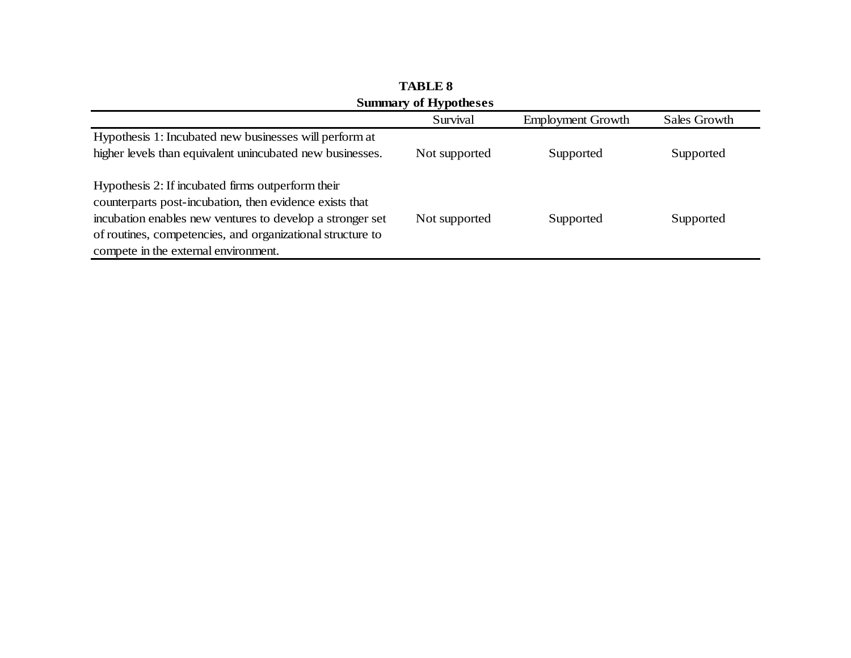| DUILLIMERY OF THE POLITESTS                                                                                                                                                                                                                                                     |               |                          |              |  |  |  |  |
|---------------------------------------------------------------------------------------------------------------------------------------------------------------------------------------------------------------------------------------------------------------------------------|---------------|--------------------------|--------------|--|--|--|--|
|                                                                                                                                                                                                                                                                                 | Survival      | <b>Employment Growth</b> | Sales Growth |  |  |  |  |
| Hypothesis 1: Incubated new businesses will perform at<br>higher levels than equivalent unincubated new businesses.                                                                                                                                                             | Not supported | Supported                | Supported    |  |  |  |  |
| Hypothesis 2: If incubated firms outperform their<br>counterparts post-incubation, then evidence exists that<br>incubation enables new ventures to develop a stronger set<br>of routines, competencies, and organizational structure to<br>compete in the external environment. | Not supported | Supported                | Supported    |  |  |  |  |

**TABLE 8 Summary of Hypotheses**